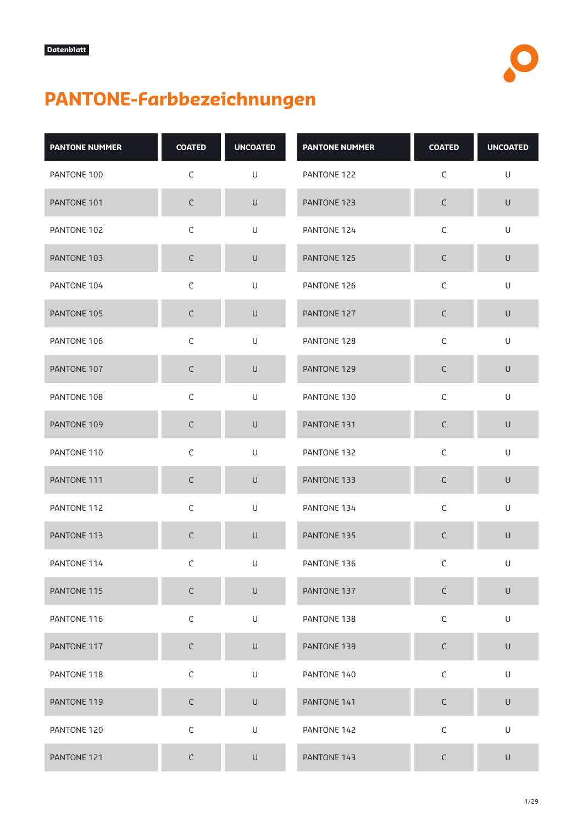

## **PANTONE-Farbbezeichnungen**

| <b>PANTONE NUMMER</b> | <b>COATED</b> | <b>UNCOATED</b> | <b>PANTONE NUMMER</b> | <b>COATED</b> | <b>UNCOATED</b> |
|-----------------------|---------------|-----------------|-----------------------|---------------|-----------------|
| PANTONE 100           | $\mathsf C$   | U               | PANTONE 122           | $\mathsf C$   | U               |
| PANTONE 101           | $\mathsf C$   | $\cup$          | PANTONE 123           | $\mathsf C$   | $\cup$          |
| PANTONE 102           | $\mathsf C$   | U               | PANTONE 124           | $\mathsf C$   | $\mathsf U$     |
| PANTONE 103           | $\mathsf C$   | $\cup$          | PANTONE 125           | $\mathsf C$   | $\mathsf U$     |
| PANTONE 104           | $\mathsf C$   | U               | PANTONE 126           | $\mathsf C$   | U               |
| PANTONE 105           | $\mathsf C$   | $\cup$          | PANTONE 127           | $\mathsf C$   | $\mathsf U$     |
| PANTONE 106           | $\mathsf C$   | U               | PANTONE 128           | $\mathsf C$   | U               |
| PANTONE 107           | $\mathsf C$   | $\mathsf U$     | PANTONE 129           | $\mathsf C$   | $\cup$          |
| PANTONE 108           | $\mathsf C$   | U               | PANTONE 130           | $\mathsf C$   | U               |
| PANTONE 109           | $\mathsf C$   | U               | PANTONE 131           | $\mathsf C$   | $\cup$          |
| PANTONE 110           | $\mathsf C$   | U               | PANTONE 132           | $\mathsf C$   | U               |
| PANTONE 111           | $\mathsf C$   | $\cup$          | PANTONE 133           | $\mathsf C$   | $\cup$          |
| PANTONE 112           | $\mathsf C$   | U               | PANTONE 134           | $\mathsf C$   | U               |
| PANTONE 113           | $\mathsf C$   | $\mathsf U$     | PANTONE 135           | $\mathsf C$   | $\mathsf U$     |
| PANTONE 114           | C             | U               | PANTONE 136           | $\mathsf C$   | U               |
| PANTONE 115           | $\mathsf C$   | $\cup$          | PANTONE 137           | $\mathsf C$   | $\cup$          |
| PANTONE 116           | $\mathsf C$   | $\mathsf U$     | PANTONE 138           | $\mathsf C$   | $\mathsf U$     |
| PANTONE 117           | $\mathsf C$   | $\cup$          | PANTONE 139           | $\mathsf C$   | $\sf U$         |
| PANTONE 118           | $\mathsf C$   | U               | PANTONE 140           | $\mathsf C$   | U               |
| PANTONE 119           | $\mathsf C$   | $\cup$          | PANTONE 141           | $\mathsf C$   | $\cup$          |
| PANTONE 120           | $\mathsf C$   | U               | PANTONE 142           | $\mathsf C$   | U               |
| PANTONE 121           | $\mathsf C$   | $\cup$          | PANTONE 143           | $\mathsf C$   | $\cup$          |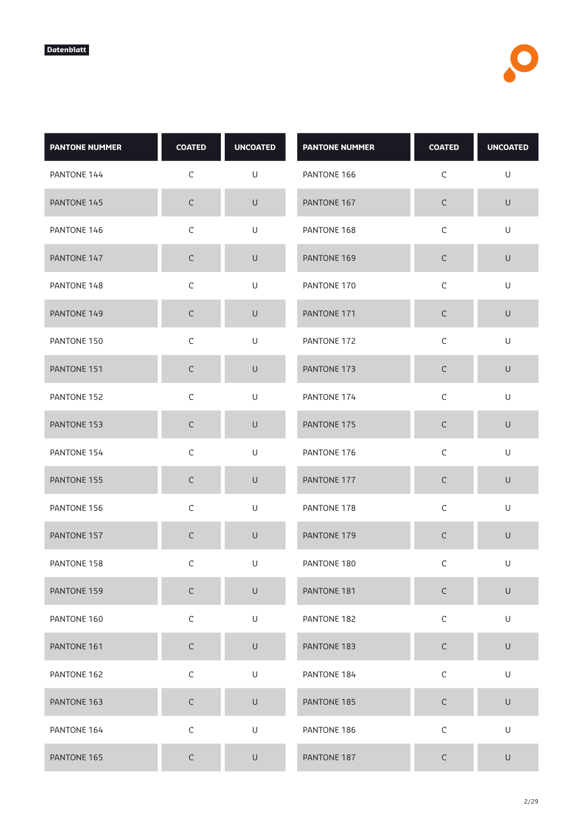| <b>PANTONE NUMMER</b> | <b>COATED</b> | <b>UNCOATED</b>                                                                                            | <b>PANTONE NUMMER</b> | <b>COATED</b> | <b>UNCOATED</b> |
|-----------------------|---------------|------------------------------------------------------------------------------------------------------------|-----------------------|---------------|-----------------|
| PANTONE 144           | $\mathsf C$   | U                                                                                                          | PANTONE 166           | $\mathsf C$   | $\mathsf U$     |
| PANTONE 145           | $\mathsf C$   | $\cup$                                                                                                     | PANTONE 167           | $\mathsf C$   | U               |
| PANTONE 146           | $\mathsf C$   | U                                                                                                          | PANTONE 168           | $\mathsf C$   | U               |
| PANTONE 147           | $\mathsf C$   | U                                                                                                          | PANTONE 169           | C             | $\cup$          |
| PANTONE 148           | $\mathsf C$   | U                                                                                                          | PANTONE 170           | $\mathsf C$   | $\sf U$         |
| PANTONE 149           | $\mathsf C$   | $\cup$                                                                                                     | PANTONE 171           | $\mathsf C$   | $\mathsf U$     |
| PANTONE 150           | $\mathsf C$   | U                                                                                                          | PANTONE 172           | $\mathsf C$   | U               |
| PANTONE 151           | $\mathsf C$   | $\cup$                                                                                                     | PANTONE 173           | $\mathsf C$   | $\sf U$         |
| PANTONE 152           | $\mathsf C$   | U                                                                                                          | PANTONE 174           | $\mathsf C$   | U               |
| PANTONE 153           | $\mathsf C$   | $\cup$                                                                                                     | PANTONE 175           | $\mathsf C$   | $\sf U$         |
| PANTONE 154           | $\mathsf C$   | U                                                                                                          | PANTONE 176           | $\mathsf C$   | U               |
| PANTONE 155           | $\mathsf C$   | $\cup$                                                                                                     | PANTONE 177           | $\mathsf C$   | $\sf U$         |
| PANTONE 156           | $\mathsf C$   | U                                                                                                          | PANTONE 178           | $\mathsf{C}$  | U               |
| PANTONE 157           | $\mathsf C$   | $\cup$                                                                                                     | PANTONE 179           | $\mathsf C$   | $\sf U$         |
| PANTONE 158           | C             | U                                                                                                          | PANTONE 180           | $\mathsf C$   | U               |
| PANTONE 159           | $\mathsf C$   | $\sf U$                                                                                                    | PANTONE 181           | $\mathsf C$   | $\sf U$         |
| PANTONE 160           | $\mathsf C$   | U                                                                                                          | PANTONE 182           | $\mathsf C$   | U               |
| PANTONE 161           | $\mathsf C$   | $\sf U$                                                                                                    | PANTONE 183           | $\mathsf C$   | $\mathsf U$     |
| PANTONE 162           | $\mathsf C$   | $\mathsf{U}% _{T}=\mathsf{U}_{T}\!\left( a,b\right) ,\ \mathsf{U}_{T}=\mathsf{U}_{T}\!\left( a,b\right) ,$ | PANTONE 184           | $\mathsf C$   | $\mathsf U$     |
| PANTONE 163           | $\mathsf C$   | U                                                                                                          | PANTONE 185           | $\mathsf C$   | $\sf U$         |
| PANTONE 164           | $\mathsf C$   | U                                                                                                          | PANTONE 186           | $\mathsf C$   | U               |
| PANTONE 165           | $\mathsf C$   | U                                                                                                          | PANTONE 187           | C             | U               |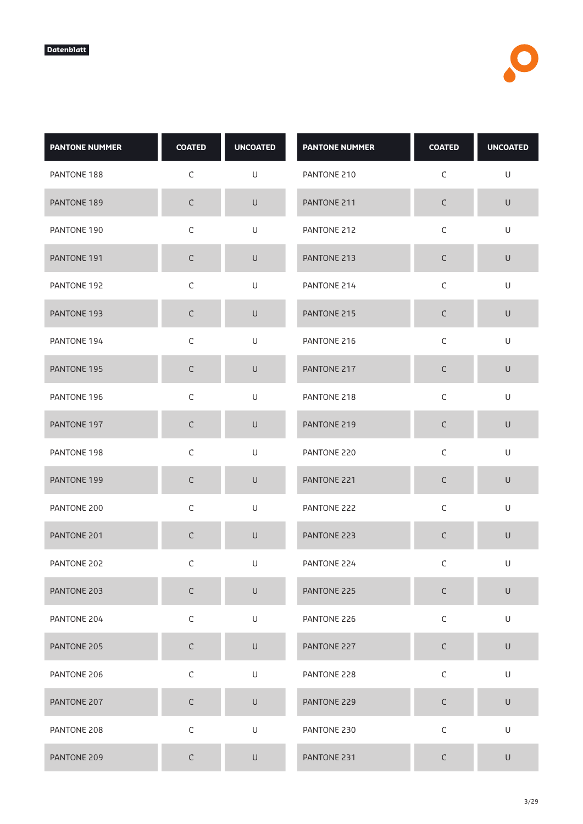| <b>PANTONE NUMMER</b> | <b>COATED</b> | <b>UNCOATED</b>                                                                                            | <b>PANTONE NUMMER</b> | <b>COATED</b> | <b>UNCOATED</b> |
|-----------------------|---------------|------------------------------------------------------------------------------------------------------------|-----------------------|---------------|-----------------|
| PANTONE 188           | $\mathsf C$   | U                                                                                                          | PANTONE 210           | $\mathsf C$   | U               |
| PANTONE 189           | $\mathsf C$   | $\sf U$                                                                                                    | PANTONE 211           | $\mathsf C$   | $\mathsf U$     |
| PANTONE 190           | $\mathsf C$   | U                                                                                                          | PANTONE 212           | $\mathsf C$   | U               |
| PANTONE 191           | $\mathsf C$   | $\cup$                                                                                                     | PANTONE 213           | C             | $\sf U$         |
| PANTONE 192           | $\mathsf C$   | $\mathsf{U}% _{T}=\mathsf{U}_{T}\!\left( a,b\right) ,\ \mathsf{U}_{T}=\mathsf{U}_{T}\!\left( a,b\right) ,$ | PANTONE 214           | $\mathsf C$   | $\mathsf U$     |
| PANTONE 193           | $\mathsf C$   | U                                                                                                          | PANTONE 215           | $\mathsf C$   | $\sf U$         |
| PANTONE 194           | $\mathsf C$   | U                                                                                                          | PANTONE 216           | $\mathsf C$   | U               |
| PANTONE 195           | $\mathsf C$   | $\cup$                                                                                                     | PANTONE 217           | $\mathsf C$   | $\sf U$         |
| PANTONE 196           | $\mathsf C$   | U                                                                                                          | PANTONE 218           | $\mathsf C$   | $\mathsf U$     |
| PANTONE 197           | $\mathsf C$   | U                                                                                                          | PANTONE 219           | $\mathsf C$   | $\cup$          |
| PANTONE 198           | $\mathsf C$   | U                                                                                                          | PANTONE 220           | $\mathsf C$   | U               |
| PANTONE 199           | $\mathsf C$   | $\cup$                                                                                                     | PANTONE 221           | C             | $\cup$          |
| PANTONE 200           | $\mathsf C$   | $\mathsf{U}% _{T}=\mathsf{U}_{T}\!\left( a,b\right) ,\ \mathsf{U}_{T}=\mathsf{U}_{T}\!\left( a,b\right) ,$ | PANTONE 222           | $\mathsf C$   | $\mathsf U$     |
| PANTONE 201           | $\mathsf C$   | $\sf U$                                                                                                    | PANTONE 223           | C             | $\mathsf U$     |
| PANTONE 202           | С             | U                                                                                                          | PANTONE 224           | C             | U               |
| PANTONE 203           | $\mathsf C$   | $\mathsf U$                                                                                                | PANTONE 225           | $\mathsf C$   | $\sf U$         |
| PANTONE 204           | $\mathsf C$   | U                                                                                                          | PANTONE 226           | $\mathsf C$   | U               |
| PANTONE 205           | $\mathsf C$   | $\mathsf U$                                                                                                | PANTONE 227           | $\mathsf C$   | $\mathsf U$     |
| PANTONE 206           | $\mathsf C$   | U                                                                                                          | PANTONE 228           | $\mathsf C$   | U               |
| PANTONE 207           | $\mathsf C$   | U                                                                                                          | PANTONE 229           | $\mathsf C$   | $\mathsf U$     |
| PANTONE 208           | $\mathsf C$   | U                                                                                                          | PANTONE 230           | $\mathsf C$   | U               |
| PANTONE 209           | $\mathsf C$   | $\sf U$                                                                                                    | PANTONE 231           | $\mathsf C$   | $\cup$          |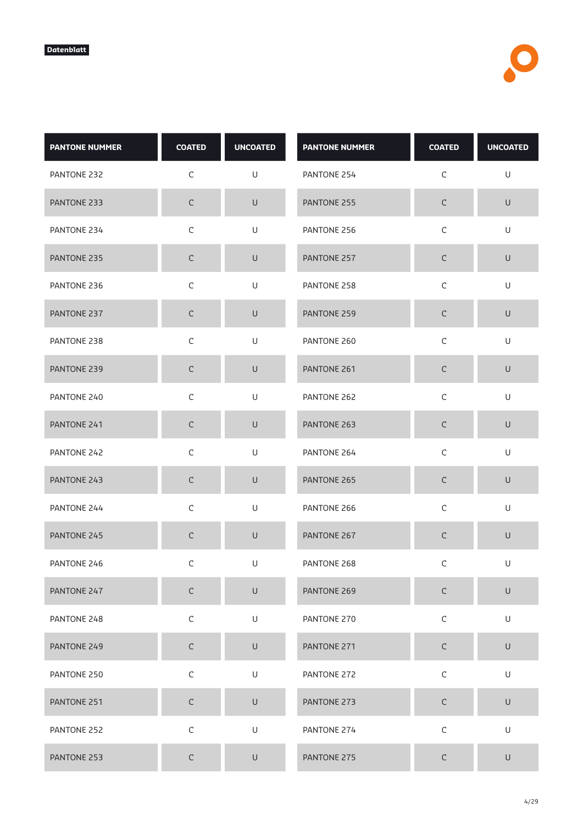| <b>PANTONE NUMMER</b> | <b>COATED</b> | <b>UNCOATED</b>                                                                                            | <b>PANTONE NUMMER</b> | <b>COATED</b> | <b>UNCOATED</b> |
|-----------------------|---------------|------------------------------------------------------------------------------------------------------------|-----------------------|---------------|-----------------|
| PANTONE 232           | $\mathsf C$   | U                                                                                                          | PANTONE 254           | $\mathsf C$   | U               |
| PANTONE 233           | $\mathsf C$   | $\sf U$                                                                                                    | PANTONE 255           | $\mathsf C$   | $\mathsf U$     |
| PANTONE 234           | $\mathsf C$   | U                                                                                                          | PANTONE 256           | $\mathsf C$   | U               |
| PANTONE 235           | $\mathsf C$   | $\cup$                                                                                                     | PANTONE 257           | C             | $\cup$          |
| PANTONE 236           | $\mathsf C$   | $\mathsf{U}% _{T}=\mathsf{U}_{T}\!\left( a,b\right) ,\ \mathsf{U}_{T}=\mathsf{U}_{T}\!\left( a,b\right) ,$ | PANTONE 258           | $\mathsf C$   | $\mathsf U$     |
| PANTONE 237           | $\mathsf C$   | U                                                                                                          | PANTONE 259           | $\mathsf C$   | $\sf U$         |
| PANTONE 238           | $\mathsf C$   | U                                                                                                          | PANTONE 260           | $\mathsf C$   | U               |
| PANTONE 239           | $\mathsf C$   | $\cup$                                                                                                     | PANTONE 261           | $\mathsf C$   | $\sf U$         |
| PANTONE 240           | $\mathsf C$   | U                                                                                                          | PANTONE 262           | $\mathsf C$   | $\mathsf U$     |
| PANTONE 241           | $\mathsf C$   | $\cup$                                                                                                     | PANTONE 263           | $\mathsf C$   | $\cup$          |
| PANTONE 242           | $\mathsf C$   | U                                                                                                          | PANTONE 264           | $\mathsf C$   | U               |
| PANTONE 243           | $\mathsf C$   | $\cup$                                                                                                     | PANTONE 265           | C             | $\cup$          |
| PANTONE 244           | $\mathsf C$   | $\mathsf{U}% _{T}=\mathsf{U}_{T}\!\left( a,b\right) ,\ \mathsf{U}_{T}=\mathsf{U}_{T}\!\left( a,b\right) ,$ | PANTONE 266           | $\mathsf C$   | $\mathsf U$     |
| PANTONE 245           | $\mathsf C$   | $\sf U$                                                                                                    | PANTONE 267           | C             | $\mathsf U$     |
| PANTONE 246           | С             | U                                                                                                          | PANTONE 268           | C             | U               |
| PANTONE 247           | $\mathsf C$   | $\mathsf U$                                                                                                | PANTONE 269           | $\mathsf C$   | $\sf U$         |
| PANTONE 248           | $\mathsf C$   | U                                                                                                          | PANTONE 270           | $\mathsf C$   | U               |
| PANTONE 249           | $\mathsf C$   | $\mathsf U$                                                                                                | PANTONE 271           | $\mathsf C$   | $\mathsf U$     |
| PANTONE 250           | $\mathsf C$   | U                                                                                                          | PANTONE 272           | $\mathsf C$   | U               |
| PANTONE 251           | $\mathsf C$   | U                                                                                                          | PANTONE 273           | $\mathsf C$   | $\mathsf U$     |
| PANTONE 252           | $\mathsf C$   | $\mathsf{U}% _{T}=\mathsf{U}_{T}\!\left( a,b\right) ,\ \mathsf{U}_{T}=\mathsf{U}_{T}\!\left( a,b\right) ,$ | PANTONE 274           | $\mathsf C$   | U               |
| PANTONE 253           | $\mathsf C$   | $\sf U$                                                                                                    | PANTONE 275           | $\mathsf C$   | $\sf U$         |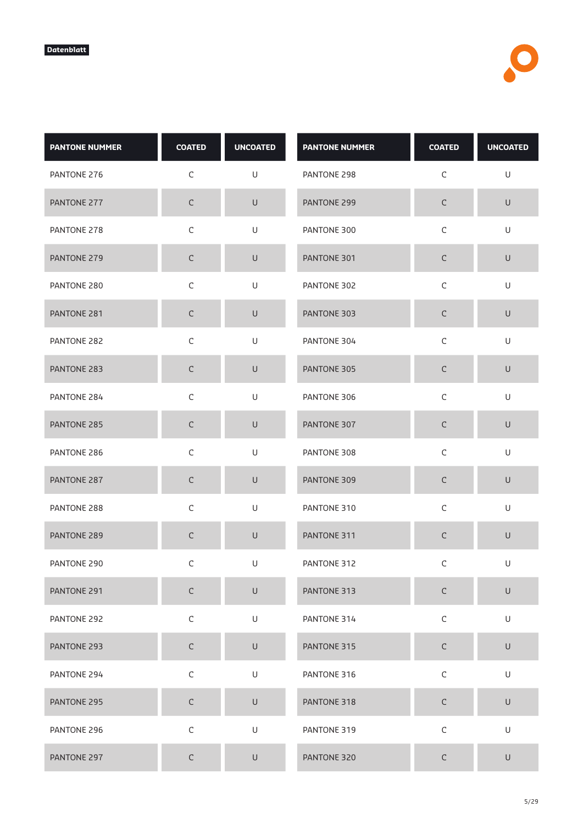| <b>PANTONE NUMMER</b> | <b>COATED</b> | <b>UNCOATED</b> | <b>PANTONE NUMMER</b> | <b>COATED</b> | <b>UNCOATED</b> |
|-----------------------|---------------|-----------------|-----------------------|---------------|-----------------|
| PANTONE 276           | $\mathsf C$   | U               | PANTONE 298           | $\mathsf C$   | U               |
| PANTONE 277           | $\mathsf C$   | $\sf U$         | PANTONE 299           | $\mathsf C$   | $\sf U$         |
| PANTONE 278           | $\mathsf C$   | U               | PANTONE 300           | $\mathsf C$   | U               |
| PANTONE 279           | $\mathsf C$   | $\cup$          | PANTONE 301           | С             | $\cup$          |
| PANTONE 280           | $\mathsf C$   | $\mathsf U$     | PANTONE 302           | $\mathsf C$   | U               |
| PANTONE 281           | $\mathsf C$   | $\sf U$         | PANTONE 303           | $\mathsf C$   | $\sf U$         |
| PANTONE 282           | $\mathsf C$   | U               | PANTONE 304           | $\mathsf C$   | U               |
| PANTONE 283           | $\mathsf C$   | $\sf U$         | PANTONE 305           | $\mathsf C$   | $\sf U$         |
| PANTONE 284           | $\mathsf C$   | $\mathsf U$     | PANTONE 306           | $\mathsf C$   | $\cup$          |
| PANTONE 285           | $\mathsf C$   | $\sf U$         | PANTONE 307           | $\mathsf C$   | $\sf U$         |
| PANTONE 286           | $\mathsf C$   | U               | PANTONE 308           | $\mathsf C$   | U               |
| PANTONE 287           | C             | $\cup$          | PANTONE 309           | $\mathsf C$   | $\sf U$         |
| PANTONE 288           | $\mathsf C$   | U               | PANTONE 310           | $\mathsf C$   | U               |
| PANTONE 289           | $\mathsf C$   | $\sf U$         | PANTONE 311           | $\mathsf C$   | $\sf U$         |
| PANTONE 290           | С             | U               | PANTONE 312           | C             | U               |
| PANTONE 291           | $\mathsf C$   | $\sf U$         | PANTONE 313           | $\mathsf C$   | $\sf U$         |
| PANTONE 292           | $\mathsf C$   | U               | PANTONE 314           | $\mathsf C$   | U               |
| PANTONE 293           | $\mathsf C$   | $\mathsf U$     | PANTONE 315           | $\mathsf C$   | $\mathsf U$     |
| PANTONE 294           | $\mathsf C$   | $\mathsf U$     | PANTONE 316           | $\mathsf C$   | U               |
| PANTONE 295           | $\mathsf C$   | $\sf U$         | PANTONE 318           | $\mathsf C$   | $\sf U$         |
| PANTONE 296           | $\mathsf C$   | U               | PANTONE 319           | $\mathsf C$   | U               |
| PANTONE 297           | $\mathsf C$   | $\sf U$         | PANTONE 320           | С             | $\sf U$         |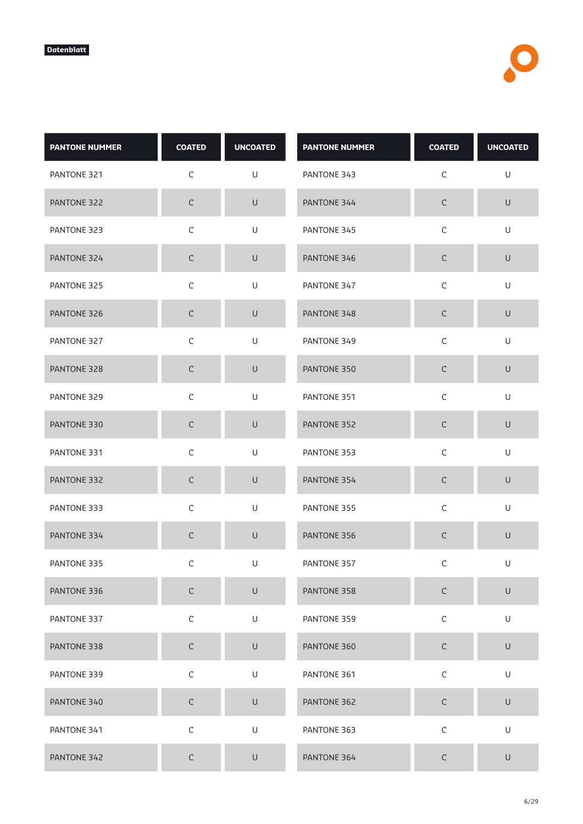| <b>PANTONE NUMMER</b> | <b>COATED</b> | <b>UNCOATED</b> | <b>PANTONE NUMMER</b> | <b>COATED</b> | <b>UNCOATED</b> |
|-----------------------|---------------|-----------------|-----------------------|---------------|-----------------|
| PANTONE 321           | $\mathsf C$   | U               | PANTONE 343           | $\mathsf C$   | U               |
| PANTONE 322           | $\mathsf C$   | $\sf U$         | PANTONE 344           | $\mathsf C$   | $\mathsf U$     |
| PANTONE 323           | $\mathsf C$   | U               | PANTONE 345           | $\mathsf C$   | U               |
| PANTONE 324           | $\mathsf C$   | $\cup$          | PANTONE 346           | С             | $\cup$          |
| PANTONE 325           | $\mathsf C$   | $\mathsf U$     | PANTONE 347           | $\mathsf C$   | U               |
| PANTONE 326           | $\mathsf C$   | $\sf U$         | PANTONE 348           | $\mathsf C$   | $\cup$          |
| PANTONE 327           | $\mathsf C$   | U               | PANTONE 349           | $\mathsf C$   | U               |
| PANTONE 328           | $\mathsf C$   | $\sf U$         | PANTONE 350           | $\mathsf C$   | $\sf U$         |
| PANTONE 329           | $\mathsf C$   | $\sf U$         | PANTONE 351           | $\mathsf C$   | $\cup$          |
| PANTONE 330           | $\mathsf C$   | $\sf U$         | PANTONE 352           | $\mathsf C$   | $\sf U$         |
| PANTONE 331           | $\mathsf C$   | U               | PANTONE 353           | $\mathsf C$   | U               |
| PANTONE 332           | C             | $\cup$          | PANTONE 354           | $\mathsf C$   | $\mathsf U$     |
| PANTONE 333           | $\mathsf C$   | U               | PANTONE 355           | $\mathsf C$   | U               |
| PANTONE 334           | $\mathsf C$   | $\mathsf U$     | PANTONE 356           | $\mathsf C$   | $\sf U$         |
| PANTONE 335           | С             | U               | PANTONE 357           | C             | U               |
| PANTONE 336           | $\mathsf C$   | $\sf U$         | PANTONE 358           | $\mathsf C$   | $\sf U$         |
| PANTONE 337           | $\mathsf C$   | $\mathsf U$     | PANTONE 359           | $\mathsf C$   | U               |
| PANTONE 338           | $\mathsf C$   | $\mathsf U$     | PANTONE 360           | $\mathsf C$   | $\mathsf U$     |
| PANTONE 339           | $\mathsf C$   | $\mathsf U$     | PANTONE 361           | $\mathsf C$   | U               |
| PANTONE 340           | $\mathsf C$   | $\sf U$         | PANTONE 362           | $\mathsf C$   | $\sf U$         |
| PANTONE 341           | $\mathsf C$   | U               | PANTONE 363           | $\mathsf C$   | U               |
| PANTONE 342           | $\mathsf C$   | $\sf U$         | PANTONE 364           | С             | $\sf U$         |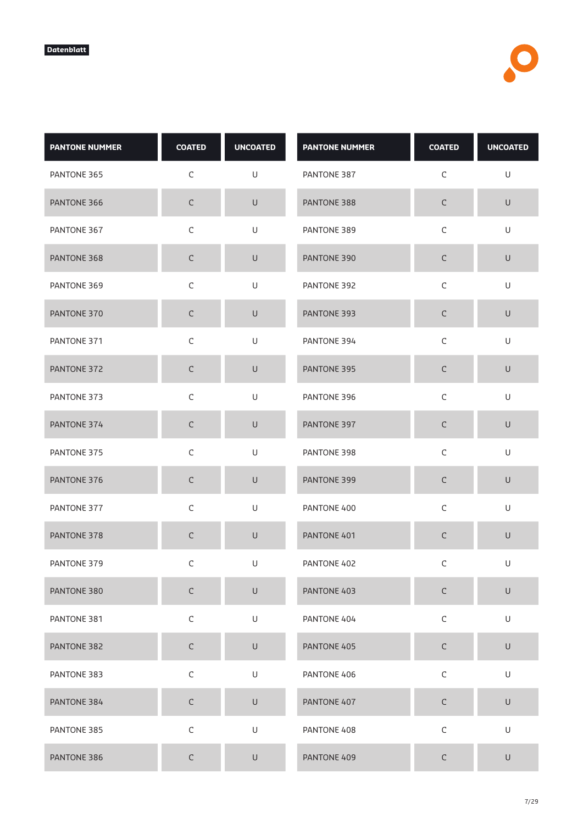| <b>PANTONE NUMMER</b> | <b>COATED</b> | <b>UNCOATED</b> | <b>PANTONE NUMMER</b> | <b>COATED</b> | <b>UNCOATED</b> |
|-----------------------|---------------|-----------------|-----------------------|---------------|-----------------|
| PANTONE 365           | $\mathsf C$   | U               | PANTONE 387           | $\mathsf C$   | U               |
| PANTONE 366           | $\mathsf C$   | $\sf U$         | PANTONE 388           | $\mathsf C$   | $\mathsf U$     |
| PANTONE 367           | $\mathsf C$   | U               | PANTONE 389           | $\mathsf C$   | U               |
| PANTONE 368           | $\mathsf C$   | $\cup$          | PANTONE 390           | С             | $\cup$          |
| PANTONE 369           | $\mathsf C$   | $\mathsf U$     | PANTONE 392           | $\mathsf C$   | U               |
| PANTONE 370           | $\mathsf C$   | $\sf U$         | PANTONE 393           | $\mathsf C$   | $\cup$          |
| PANTONE 371           | $\mathsf C$   | U               | PANTONE 394           | $\mathsf C$   | U               |
| PANTONE 372           | $\mathsf C$   | $\sf U$         | PANTONE 395           | $\mathsf C$   | $\sf U$         |
| PANTONE 373           | $\mathsf C$   | $\sf U$         | PANTONE 396           | $\mathsf C$   | $\cup$          |
| PANTONE 374           | $\mathsf C$   | $\sf U$         | PANTONE 397           | $\mathsf C$   | $\sf U$         |
| PANTONE 375           | $\mathsf C$   | U               | PANTONE 398           | $\mathsf C$   | U               |
| PANTONE 376           | C             | $\cup$          | PANTONE 399           | $\mathsf C$   | $\sf U$         |
| PANTONE 377           | $\mathsf C$   | U               | PANTONE 400           | $\mathsf C$   | U               |
| PANTONE 378           | $\mathsf C$   | $\mathsf U$     | PANTONE 401           | $\mathsf C$   | $\sf U$         |
| PANTONE 379           | С             | U               | PANTONE 402           | C             | U               |
| PANTONE 380           | $\mathsf C$   | $\sf U$         | PANTONE 403           | $\mathsf C$   | $\sf U$         |
| PANTONE 381           | $\mathsf C$   | $\mathsf U$     | PANTONE 404           | $\mathsf C$   | U               |
| PANTONE 382           | $\mathsf C$   | $\mathsf U$     | PANTONE 405           | $\mathsf C$   | $\mathsf U$     |
| PANTONE 383           | $\mathsf C$   | $\mathsf U$     | PANTONE 406           | $\mathsf C$   | $\cup$          |
| PANTONE 384           | $\mathsf C$   | $\sf U$         | PANTONE 407           | $\mathsf C$   | $\sf U$         |
| PANTONE 385           | $\mathsf C$   | $\mathsf U$     | PANTONE 408           | $\mathsf C$   | U               |
| PANTONE 386           | $\mathsf C$   | $\sf U$         | PANTONE 409           | С             | $\sf U$         |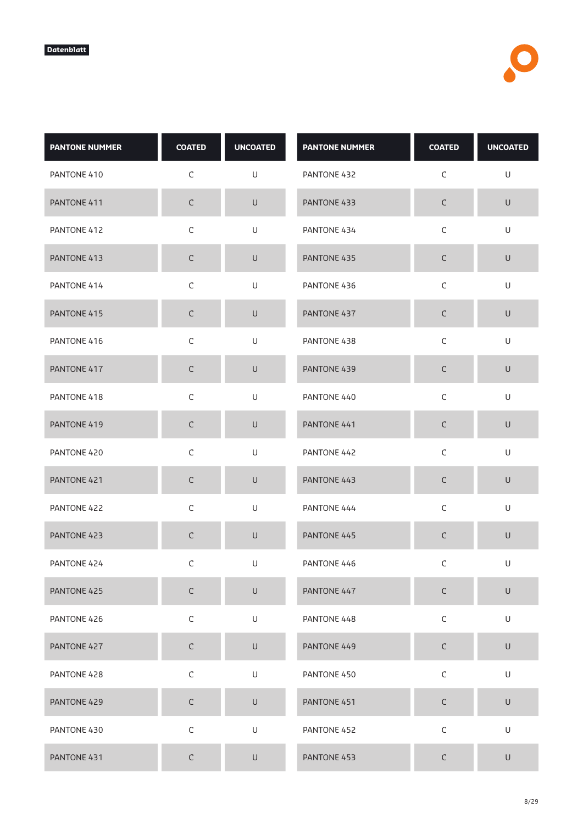| <b>PANTONE NUMMER</b> | <b>COATED</b> | <b>UNCOATED</b>                                                                                            | <b>PANTONE NUMMER</b> | <b>COATED</b> | <b>UNCOATED</b>                                                                                            |
|-----------------------|---------------|------------------------------------------------------------------------------------------------------------|-----------------------|---------------|------------------------------------------------------------------------------------------------------------|
| PANTONE 410           | $\mathsf C$   | U                                                                                                          | PANTONE 432           | $\mathsf C$   | $\mathsf U$                                                                                                |
| PANTONE 411           | $\mathsf C$   | $\sf U$                                                                                                    | PANTONE 433           | $\mathsf C$   | $\sf U$                                                                                                    |
| PANTONE 412           | $\mathsf C$   | U                                                                                                          | PANTONE 434           | $\mathsf C$   | U                                                                                                          |
| PANTONE 413           | $\mathsf C$   | U                                                                                                          | PANTONE 435           | C             | $\cup$                                                                                                     |
| PANTONE 414           | $\mathsf C$   | U                                                                                                          | PANTONE 436           | $\mathsf C$   | $\sf U$                                                                                                    |
| PANTONE 415           | $\mathsf C$   | $\cup$                                                                                                     | PANTONE 437           | $\mathsf C$   | $\cup$                                                                                                     |
| PANTONE 416           | $\mathsf C$   | U                                                                                                          | PANTONE 438           | $\mathsf C$   | U                                                                                                          |
| PANTONE 417           | $\mathsf C$   | $\cup$                                                                                                     | PANTONE 439           | $\mathsf C$   | $\sf U$                                                                                                    |
| PANTONE 418           | $\mathsf C$   | U                                                                                                          | PANTONE 440           | $\mathsf C$   | $\mathsf U$                                                                                                |
| PANTONE 419           | $\mathsf C$   | $\cup$                                                                                                     | PANTONE 441           | $\mathsf C$   | $\sf U$                                                                                                    |
| PANTONE 420           | $\mathsf C$   | U                                                                                                          | PANTONE 442           | $\mathsf C$   | U                                                                                                          |
| PANTONE 421           | $\mathsf C$   | $\cup$                                                                                                     | PANTONE 443           | C             | $\sf U$                                                                                                    |
| PANTONE 422           | $\mathsf C$   | U                                                                                                          | PANTONE 444           | $\mathsf C$   | U                                                                                                          |
| PANTONE 423           | $\mathsf C$   | $\cup$                                                                                                     | PANTONE 445           | $\mathsf C$   | $\sf U$                                                                                                    |
| PANTONE 424           | $\mathsf C$   | U                                                                                                          | PANTONE 446           | $\mathsf C$   | U                                                                                                          |
| PANTONE 425           | $\mathsf C$   | $\cup$                                                                                                     | PANTONE 447           | $\mathsf C$   | $\mathsf{U}% _{T}=\mathsf{U}_{T}\!\left( a,b\right) ,\ \mathsf{U}_{T}=\mathsf{U}_{T}\!\left( a,b\right) ,$ |
| PANTONE 426           | $\mathsf C$   | U                                                                                                          | PANTONE 448           | $\mathsf C$   | U                                                                                                          |
| PANTONE 427           | $\mathsf C$   | $\cup$                                                                                                     | PANTONE 449           | $\mathsf C$   | $\mathsf U$                                                                                                |
| PANTONE 428           | $\mathsf C$   | $\mathsf{U}% _{T}=\mathsf{U}_{T}\!\left( a,b\right) ,\ \mathsf{U}_{T}=\mathsf{U}_{T}\!\left( a,b\right) ,$ | PANTONE 450           | $\mathsf C$   | $\mathsf U$                                                                                                |
| PANTONE 429           | $\mathsf C$   | $\mathsf U$                                                                                                | PANTONE 451           | $\mathsf C$   | $\sf U$                                                                                                    |
| PANTONE 430           | $\mathsf C$   | $\mathsf{U}% _{T}=\mathsf{U}_{T}\!\left( a,b\right) ,\ \mathsf{U}_{T}=\mathsf{U}_{T}\!\left( a,b\right) ,$ | PANTONE 452           | $\mathsf C$   | $\mathsf U$                                                                                                |
| PANTONE 431           | $\mathsf C$   | $\cup$                                                                                                     | PANTONE 453           | $\mathsf C$   | $\sf U$                                                                                                    |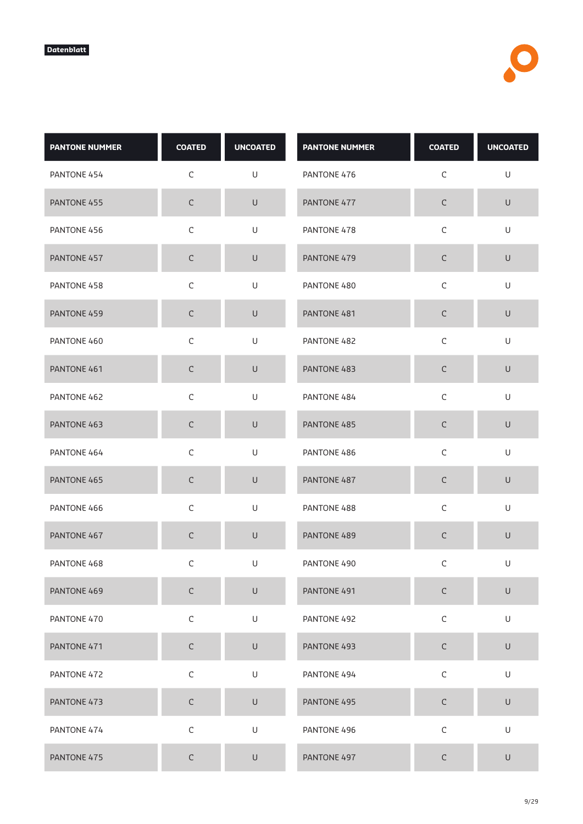| <b>PANTONE NUMMER</b> | <b>COATED</b> | <b>UNCOATED</b> | <b>PANTONE NUMMER</b> | <b>COATED</b> | <b>UNCOATED</b> |
|-----------------------|---------------|-----------------|-----------------------|---------------|-----------------|
| PANTONE 454           | $\mathsf C$   | U               | PANTONE 476           | $\mathsf C$   | U               |
| PANTONE 455           | $\mathsf C$   | $\sf U$         | PANTONE 477           | $\mathsf C$   | $\mathsf U$     |
| PANTONE 456           | $\mathsf C$   | U               | PANTONE 478           | $\mathsf C$   | U               |
| PANTONE 457           | $\mathsf C$   | $\cup$          | PANTONE 479           | С             | $\cup$          |
| PANTONE 458           | $\mathsf C$   | $\mathsf U$     | PANTONE 480           | $\mathsf C$   | $\sf U$         |
| PANTONE 459           | $\mathsf C$   | $\sf U$         | PANTONE 481           | $\mathsf C$   | $\cup$          |
| PANTONE 460           | $\mathsf C$   | U               | PANTONE 482           | $\mathsf C$   | U               |
| PANTONE 461           | $\mathsf C$   | $\sf U$         | PANTONE 483           | $\mathsf C$   | $\sf U$         |
| PANTONE 462           | $\mathsf C$   | $\sf U$         | PANTONE 484           | $\mathsf C$   | $\cup$          |
| PANTONE 463           | $\mathsf C$   | $\sf U$         | PANTONE 485           | $\mathsf C$   | $\sf U$         |
| PANTONE 464           | $\mathsf C$   | U               | PANTONE 486           | $\mathsf C$   | U               |
| PANTONE 465           | C             | $\cup$          | PANTONE 487           | $\mathsf C$   | $\mathsf U$     |
| PANTONE 466           | $\mathsf C$   | U               | PANTONE 488           | $\mathsf C$   | U               |
| PANTONE 467           | $\mathsf C$   | $\mathsf U$     | PANTONE 489           | $\mathsf C$   | $\sf U$         |
| PANTONE 468           | $\mathsf C$   | U               | PANTONE 490           | C             | U               |
| PANTONE 469           | $\mathsf C$   | $\sf U$         | PANTONE 491           | $\mathsf C$   | $\sf U$         |
| PANTONE 470           | $\mathsf C$   | $\mathsf U$     | PANTONE 492           | $\mathsf C$   | U               |
| PANTONE 471           | $\mathsf C$   | $\mathsf U$     | PANTONE 493           | $\mathsf C$   | $\mathsf U$     |
| PANTONE 472           | $\mathsf C$   | $\mathsf U$     | PANTONE 494           | $\mathsf C$   | U               |
| PANTONE 473           | $\mathsf C$   | $\sf U$         | PANTONE 495           | $\mathsf C$   | $\sf U$         |
| PANTONE 474           | $\mathsf C$   | $\mathsf U$     | PANTONE 496           | $\mathsf C$   | U               |
| PANTONE 475           | $\mathsf C$   | $\sf U$         | PANTONE 497           | С             | $\cup$          |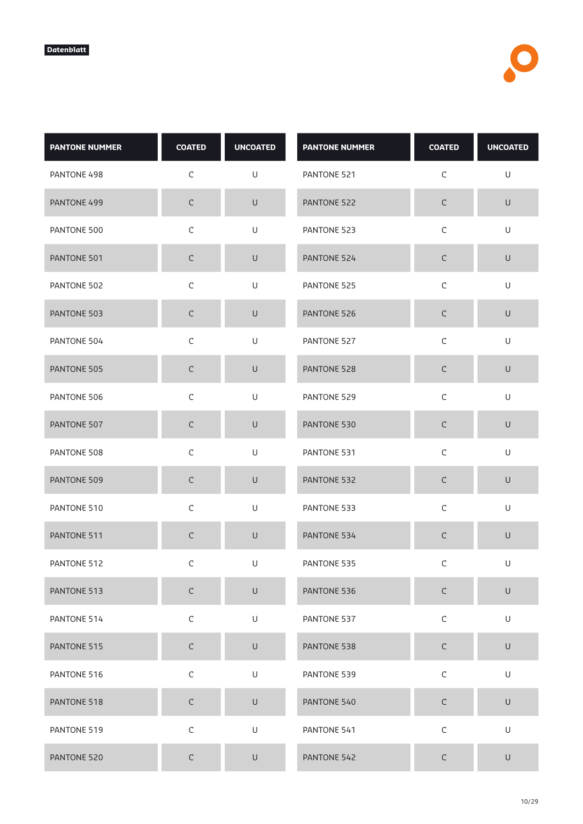| <b>PANTONE NUMMER</b> | <b>COATED</b> | <b>UNCOATED</b>                                                                                            | <b>PANTONE NUMMER</b> | <b>COATED</b> | <b>UNCOATED</b> |
|-----------------------|---------------|------------------------------------------------------------------------------------------------------------|-----------------------|---------------|-----------------|
| PANTONE 498           | C             | U                                                                                                          | PANTONE 521           | $\mathsf C$   | U               |
| PANTONE 499           | $\mathsf C$   | $\sf U$                                                                                                    | PANTONE 522           | $\mathsf C$   | $\mathsf U$     |
| PANTONE 500           | $\mathsf C$   | U                                                                                                          | PANTONE 523           | $\mathsf C$   | U               |
| PANTONE 501           | $\mathsf C$   | $\cup$                                                                                                     | PANTONE 524           | C             | $\cup$          |
| PANTONE 502           | $\mathsf C$   | $\mathsf{U}% _{T}=\mathsf{U}_{T}\!\left( a,b\right) ,\ \mathsf{U}_{T}=\mathsf{U}_{T}\!\left( a,b\right) ,$ | PANTONE 525           | $\mathsf C$   | $\mathsf U$     |
| PANTONE 503           | $\mathsf C$   | U                                                                                                          | PANTONE 526           | $\mathsf C$   | $\sf U$         |
| PANTONE 504           | $\mathsf C$   | U                                                                                                          | PANTONE 527           | $\mathsf C$   | U               |
| PANTONE 505           | $\mathsf C$   | $\cup$                                                                                                     | PANTONE 528           | $\mathsf C$   | $\sf U$         |
| PANTONE 506           | $\mathsf C$   | U                                                                                                          | PANTONE 529           | $\mathsf C$   | $\mathsf U$     |
| PANTONE 507           | $\mathsf C$   | U                                                                                                          | PANTONE 530           | $\mathsf C$   | $\cup$          |
| PANTONE 508           | $\mathsf C$   | U                                                                                                          | PANTONE 531           | $\mathsf C$   | U               |
| PANTONE 509           | $\mathsf C$   | $\cup$                                                                                                     | PANTONE 532           | C             | $\cup$          |
| PANTONE 510           | $\mathsf C$   | $\mathsf{U}% _{T}=\mathsf{U}_{T}\!\left( a,b\right) ,\ \mathsf{U}_{T}=\mathsf{U}_{T}\!\left( a,b\right) ,$ | PANTONE 533           | $\mathsf C$   | $\mathsf U$     |
| PANTONE 511           | $\mathsf C$   | $\sf U$                                                                                                    | PANTONE 534           | C             | $\mathsf U$     |
| PANTONE 512           | С             | U                                                                                                          | PANTONE 535           | C             | U               |
| PANTONE 513           | $\mathsf C$   | $\mathsf U$                                                                                                | PANTONE 536           | $\mathsf C$   | $\sf U$         |
| PANTONE 514           | $\mathsf C$   | U                                                                                                          | PANTONE 537           | $\mathsf C$   | U               |
| PANTONE 515           | $\mathsf C$   | $\mathsf U$                                                                                                | PANTONE 538           | $\mathsf C$   | $\mathsf U$     |
| PANTONE 516           | $\mathsf C$   | U                                                                                                          | PANTONE 539           | $\mathsf C$   | U               |
| PANTONE 518           | $\mathsf C$   | $\cup$                                                                                                     | PANTONE 540           | $\mathsf C$   | $\mathsf U$     |
| PANTONE 519           | $\mathsf C$   | U                                                                                                          | PANTONE 541           | $\mathsf C$   | U               |
| PANTONE 520           | $\mathsf C$   | $\sf U$                                                                                                    | PANTONE 542           | $\mathsf C$   | $\cup$          |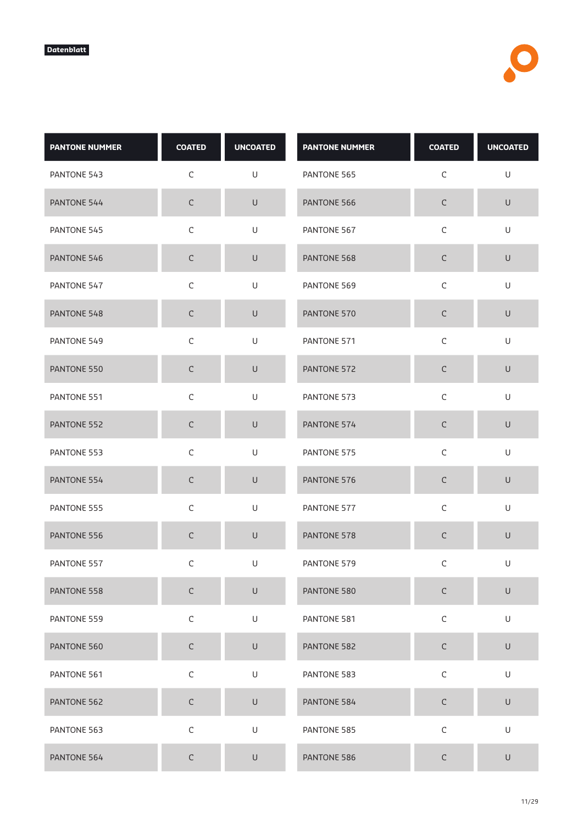| <b>PANTONE NUMMER</b> | <b>COATED</b> | <b>UNCOATED</b> | <b>PANTONE NUMMER</b> | <b>COATED</b> | <b>UNCOATED</b> |
|-----------------------|---------------|-----------------|-----------------------|---------------|-----------------|
| PANTONE 543           | $\mathsf C$   | U               | PANTONE 565           | $\mathsf C$   | U               |
| PANTONE 544           | $\mathsf C$   | $\sf U$         | PANTONE 566           | $\mathsf C$   | $\mathsf U$     |
| PANTONE 545           | $\mathsf C$   | U               | PANTONE 567           | $\mathsf C$   | U               |
| PANTONE 546           | $\mathsf C$   | $\cup$          | PANTONE 568           | С             | $\cup$          |
| PANTONE 547           | $\mathsf C$   | $\mathsf U$     | PANTONE 569           | $\mathsf C$   | U               |
| PANTONE 548           | $\mathsf C$   | $\sf U$         | PANTONE 570           | $\mathsf C$   | $\cup$          |
| PANTONE 549           | $\mathsf C$   | U               | PANTONE 571           | $\mathsf C$   | U               |
| PANTONE 550           | $\mathsf C$   | $\sf U$         | PANTONE 572           | $\mathsf C$   | $\sf U$         |
| PANTONE 551           | $\mathsf C$   | $\sf U$         | PANTONE 573           | $\mathsf C$   | $\cup$          |
| PANTONE 552           | $\mathsf C$   | $\sf U$         | PANTONE 574           | $\mathsf C$   | $\sf U$         |
| PANTONE 553           | $\mathsf C$   | U               | PANTONE 575           | $\mathsf C$   | U               |
| PANTONE 554           | C             | $\cup$          | PANTONE 576           | $\mathsf C$   | $\mathsf U$     |
| PANTONE 555           | $\mathsf C$   | U               | PANTONE 577           | $\mathsf C$   | U               |
| PANTONE 556           | $\mathsf C$   | $\mathsf U$     | PANTONE 578           | $\mathsf C$   | $\sf U$         |
| PANTONE 557           | С             | U               | PANTONE 579           | C             | U               |
| PANTONE 558           | $\mathsf C$   | $\sf U$         | PANTONE 580           | $\mathsf C$   | $\sf U$         |
| PANTONE 559           | $\mathsf C$   | $\mathsf U$     | PANTONE 581           | $\mathsf C$   | U               |
| PANTONE 560           | $\mathsf C$   | $\mathsf U$     | PANTONE 582           | $\mathsf C$   | $\mathsf U$     |
| PANTONE 561           | $\mathsf C$   | $\mathsf U$     | PANTONE 583           | $\mathsf C$   | U               |
| PANTONE 562           | $\mathsf C$   | $\sf U$         | PANTONE 584           | $\mathsf C$   | $\sf U$         |
| PANTONE 563           | $\mathsf C$   | U               | PANTONE 585           | $\mathsf C$   | U               |
| PANTONE 564           | $\mathsf C$   | $\sf U$         | PANTONE 586           | С             | $\sf U$         |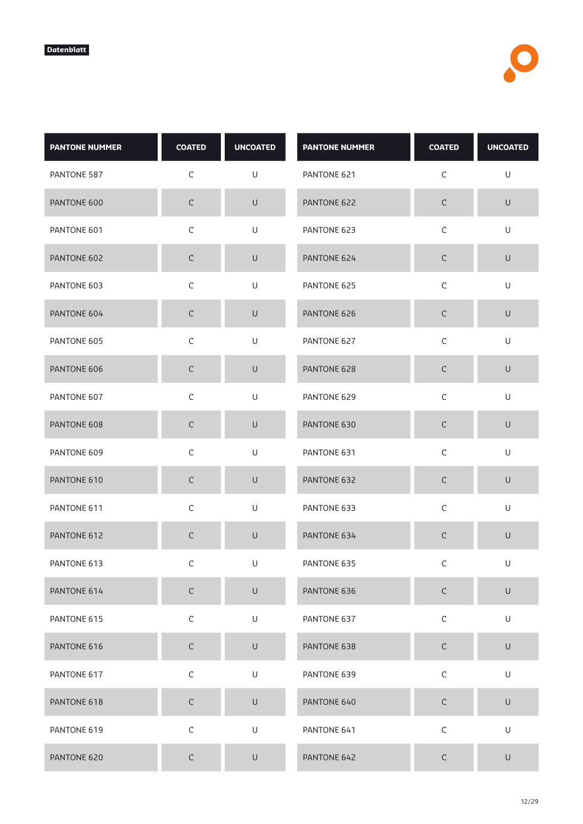| <b>PANTONE NUMMER</b> | <b>COATED</b> | <b>UNCOATED</b>                                                                                            | <b>PANTONE NUMMER</b> | <b>COATED</b> | <b>UNCOATED</b> |
|-----------------------|---------------|------------------------------------------------------------------------------------------------------------|-----------------------|---------------|-----------------|
| PANTONE 587           | $\mathsf C$   | U                                                                                                          | PANTONE 621           | $\mathsf C$   | U               |
| PANTONE 600           | $\mathsf C$   | $\sf U$                                                                                                    | PANTONE 622           | $\mathsf C$   | $\mathsf U$     |
| PANTONE 601           | $\mathsf C$   | U                                                                                                          | PANTONE 623           | $\mathsf C$   | U               |
| PANTONE 602           | $\mathsf C$   | $\cup$                                                                                                     | PANTONE 624           | C             | $\sf U$         |
| PANTONE 603           | $\mathsf C$   | $\mathsf{U}% _{T}=\mathsf{U}_{T}\!\left( a,b\right) ,\ \mathsf{U}_{T}=\mathsf{U}_{T}\!\left( a,b\right) ,$ | PANTONE 625           | $\mathsf C$   | $\mathsf U$     |
| PANTONE 604           | $\mathsf C$   | U                                                                                                          | PANTONE 626           | $\mathsf C$   | $\sf U$         |
| PANTONE 605           | $\mathsf C$   | U                                                                                                          | PANTONE 627           | $\mathsf C$   | U               |
| PANTONE 606           | $\mathsf C$   | $\cup$                                                                                                     | PANTONE 628           | $\mathsf C$   | $\sf U$         |
| PANTONE 607           | $\mathsf C$   | U                                                                                                          | PANTONE 629           | $\mathsf C$   | $\mathsf U$     |
| PANTONE 608           | $\mathsf C$   | U                                                                                                          | PANTONE 630           | $\mathsf C$   | $\cup$          |
| PANTONE 609           | $\mathsf C$   | U                                                                                                          | PANTONE 631           | $\mathsf C$   | U               |
| PANTONE 610           | $\mathsf C$   | $\cup$                                                                                                     | PANTONE 632           | C             | $\sf U$         |
| PANTONE 611           | $\mathsf C$   | $\mathsf{U}% _{T}=\mathsf{U}_{T}\!\left( a,b\right) ,\ \mathsf{U}_{T}=\mathsf{U}_{T}\!\left( a,b\right) ,$ | PANTONE 633           | $\mathsf C$   | $\mathsf U$     |
| PANTONE 612           | $\mathsf C$   | $\sf U$                                                                                                    | PANTONE 634           | C             | $\mathsf U$     |
| PANTONE 613           | С             | U                                                                                                          | PANTONE 635           | C             | U               |
| PANTONE 614           | $\mathsf C$   | $\mathsf U$                                                                                                | PANTONE 636           | $\mathsf C$   | $\sf U$         |
| PANTONE 615           | $\mathsf C$   | U                                                                                                          | PANTONE 637           | $\mathsf C$   | U               |
| PANTONE 616           | $\mathsf C$   | $\mathsf U$                                                                                                | PANTONE 638           | $\mathsf C$   | $\mathsf U$     |
| PANTONE 617           | $\mathsf C$   | U                                                                                                          | PANTONE 639           | $\mathsf C$   | U               |
| PANTONE 618           | $\mathsf C$   | U                                                                                                          | PANTONE 640           | $\mathsf C$   | $\mathsf U$     |
| PANTONE 619           | $\mathsf C$   | U                                                                                                          | PANTONE 641           | $\mathsf C$   | U               |
| PANTONE 620           | $\mathsf C$   | $\sf U$                                                                                                    | PANTONE 642           | $\mathsf C$   | U               |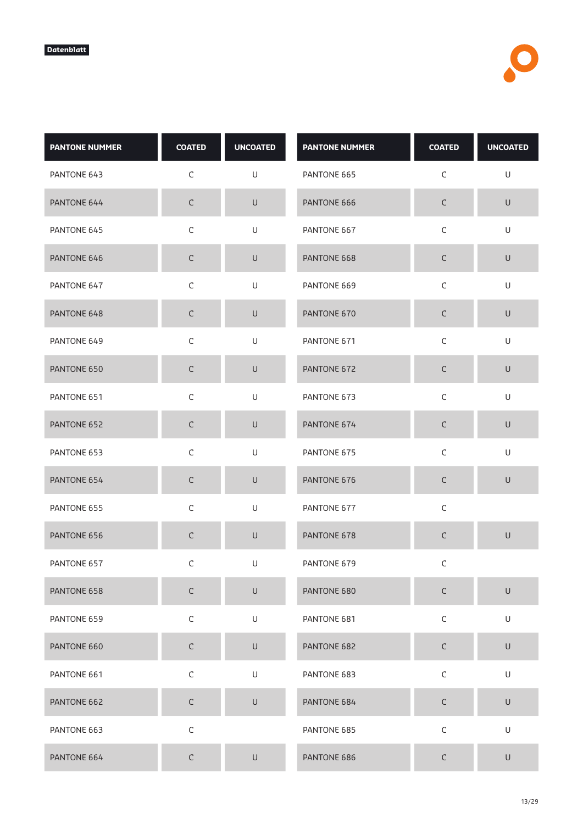| <b>PANTONE NUMMER</b> | <b>COATED</b> | <b>UNCOATED</b>                                                                                            | <b>PANTONE NUMMER</b> | <b>COATED</b> | <b>UNCOATED</b>                                                                                            |
|-----------------------|---------------|------------------------------------------------------------------------------------------------------------|-----------------------|---------------|------------------------------------------------------------------------------------------------------------|
| PANTONE 643           | $\mathsf C$   | U                                                                                                          | PANTONE 665           | $\mathsf C$   | $\mathsf{U}% _{T}=\mathsf{U}_{T}\!\left( a,b\right) ,\ \mathsf{U}_{T}=\mathsf{U}_{T}\!\left( a,b\right) ,$ |
| PANTONE 644           | $\mathsf C$   | $\sf U$                                                                                                    | PANTONE 666           | $\mathsf C$   | $\mathsf U$                                                                                                |
| PANTONE 645           | $\mathsf C$   | U                                                                                                          | PANTONE 667           | $\mathsf C$   | U                                                                                                          |
| PANTONE 646           | $\mathsf C$   | $\cup$                                                                                                     | PANTONE 668           | $\mathsf C$   | $\cup$                                                                                                     |
| PANTONE 647           | $\mathsf C$   | U                                                                                                          | PANTONE 669           | $\mathsf C$   | $\sf U$                                                                                                    |
| PANTONE 648           | $\mathsf C$   | $\cup$                                                                                                     | PANTONE 670           | $\mathsf C$   | $\sf U$                                                                                                    |
| PANTONE 649           | $\mathsf C$   | U                                                                                                          | PANTONE 671           | $\mathsf C$   | U                                                                                                          |
| PANTONE 650           | $\mathsf C$   | $\cup$                                                                                                     | PANTONE 672           | $\mathsf C$   | $\cup$                                                                                                     |
| PANTONE 651           | $\mathsf C$   | U                                                                                                          | PANTONE 673           | $\mathsf C$   | $\mathsf{U}% _{T}=\mathsf{U}_{T}\!\left( a,b\right) ,\ \mathsf{U}_{T}=\mathsf{U}_{T}\!\left( a,b\right) ,$ |
| PANTONE 652           | $\mathsf C$   | U                                                                                                          | PANTONE 674           | $\mathsf C$   | $\cup$                                                                                                     |
| PANTONE 653           | $\mathsf C$   | U                                                                                                          | PANTONE 675           | $\mathsf C$   | U                                                                                                          |
| PANTONE 654           | $\mathsf C$   | $\cup$                                                                                                     | PANTONE 676           | $\mathsf C$   | $\sf U$                                                                                                    |
| PANTONE 655           | $\mathsf C$   | U                                                                                                          | PANTONE 677           | $\mathsf C$   |                                                                                                            |
| PANTONE 656           | $\mathsf C$   | U                                                                                                          | PANTONE 678           | $\mathsf C$   | $\sf U$                                                                                                    |
| PANTONE 657           | С             | U                                                                                                          | PANTONE 679           | С             |                                                                                                            |
| PANTONE 658           | $\mathsf C$   | $\cup$                                                                                                     | PANTONE 680           | $\mathsf C$   | $\sf U$                                                                                                    |
| PANTONE 659           | $\mathsf C$   | $\mathsf{U}% _{T}=\mathsf{U}_{T}\!\left( a,b\right) ,\ \mathsf{U}_{T}=\mathsf{U}_{T}\!\left( a,b\right) ,$ | PANTONE 681           | $\mathsf C$   | U                                                                                                          |
| PANTONE 660           | $\mathsf C$   | $\cup$                                                                                                     | PANTONE 682           | $\mathsf C$   | $\sf U$                                                                                                    |
| PANTONE 661           | $\mathsf C$   | U                                                                                                          | PANTONE 683           | $\mathsf C$   | U                                                                                                          |
| PANTONE 662           | $\mathsf C$   | $\sf U$                                                                                                    | PANTONE 684           | $\mathsf C$   | $\mathsf U$                                                                                                |
| PANTONE 663           | $\mathsf C$   |                                                                                                            | PANTONE 685           | $\mathsf C$   | U                                                                                                          |
| PANTONE 664           | $\mathsf C$   | $\sf U$                                                                                                    | PANTONE 686           | $\mathsf C$   | $\cup$                                                                                                     |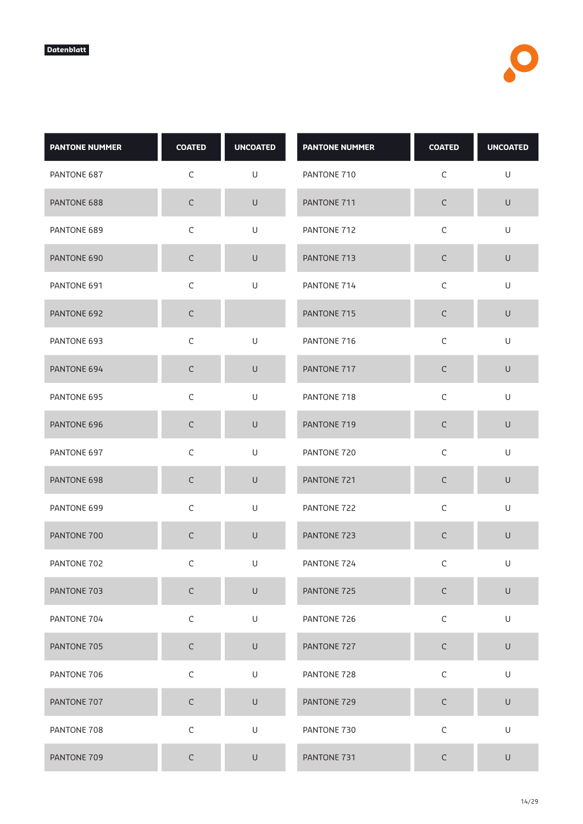| <b>PANTONE NUMMER</b> | <b>COATED</b> | <b>UNCOATED</b>                                                                                            | <b>PANTONE NUMMER</b> | <b>COATED</b> | <b>UNCOATED</b> |
|-----------------------|---------------|------------------------------------------------------------------------------------------------------------|-----------------------|---------------|-----------------|
| PANTONE 687           | $\mathsf C$   | U                                                                                                          | PANTONE 710           | $\mathsf C$   | U               |
| PANTONE 688           | $\mathsf C$   | $\sf U$                                                                                                    | PANTONE 711           | $\mathsf C$   | $\mathsf U$     |
| PANTONE 689           | $\mathsf C$   | U                                                                                                          | PANTONE 712           | $\mathsf C$   | U               |
| PANTONE 690           | $\mathsf C$   | $\cup$                                                                                                     | PANTONE 713           | C             | $\sf U$         |
| PANTONE 691           | $\mathsf C$   | $\mathsf{U}% _{T}=\mathsf{U}_{T}\!\left( a,b\right) ,\ \mathsf{U}_{T}=\mathsf{U}_{T}\!\left( a,b\right) ,$ | PANTONE 714           | $\mathsf C$   | $\mathsf U$     |
| PANTONE 692           | $\mathsf C$   |                                                                                                            | PANTONE 715           | $\mathsf C$   | $\sf U$         |
| PANTONE 693           | $\mathsf C$   | U                                                                                                          | PANTONE 716           | $\mathsf C$   | U               |
| PANTONE 694           | $\mathsf C$   | $\cup$                                                                                                     | PANTONE 717           | $\mathsf C$   | $\sf U$         |
| PANTONE 695           | $\mathsf C$   | U                                                                                                          | PANTONE 718           | $\mathsf C$   | $\mathsf U$     |
| PANTONE 696           | $\mathsf C$   | U                                                                                                          | PANTONE 719           | $\mathsf C$   | $\cup$          |
| PANTONE 697           | $\mathsf C$   | U                                                                                                          | PANTONE 720           | $\mathsf C$   | U               |
| PANTONE 698           | $\mathsf C$   | $\cup$                                                                                                     | PANTONE 721           | C             | $\cup$          |
| PANTONE 699           | $\mathsf C$   | $\mathsf{U}% _{T}=\mathsf{U}_{T}\!\left( a,b\right) ,\ \mathsf{U}_{T}=\mathsf{U}_{T}\!\left( a,b\right) ,$ | PANTONE 722           | $\mathsf C$   | $\mathsf U$     |
| PANTONE 700           | $\mathsf C$   | $\sf U$                                                                                                    | PANTONE 723           | C             | $\mathsf U$     |
| PANTONE 702           | С             | U                                                                                                          | PANTONE 724           | C             | U               |
| PANTONE 703           | $\mathsf C$   | $\mathsf U$                                                                                                | PANTONE 725           | $\mathsf C$   | $\sf U$         |
| PANTONE 704           | $\mathsf C$   | U                                                                                                          | PANTONE 726           | $\mathsf C$   | U               |
| PANTONE 705           | $\mathsf C$   | $\mathsf U$                                                                                                | PANTONE 727           | $\mathsf C$   | $\sf U$         |
| PANTONE 706           | $\mathsf C$   | U                                                                                                          | PANTONE 728           | $\mathsf C$   | U               |
| PANTONE 707           | $\mathsf C$   | U                                                                                                          | PANTONE 729           | $\mathsf C$   | $\mathsf U$     |
| PANTONE 708           | $\mathsf C$   | U                                                                                                          | PANTONE 730           | $\mathsf C$   | U               |
| PANTONE 709           | $\mathsf C$   | $\sf U$                                                                                                    | PANTONE 731           | $\mathsf C$   | U               |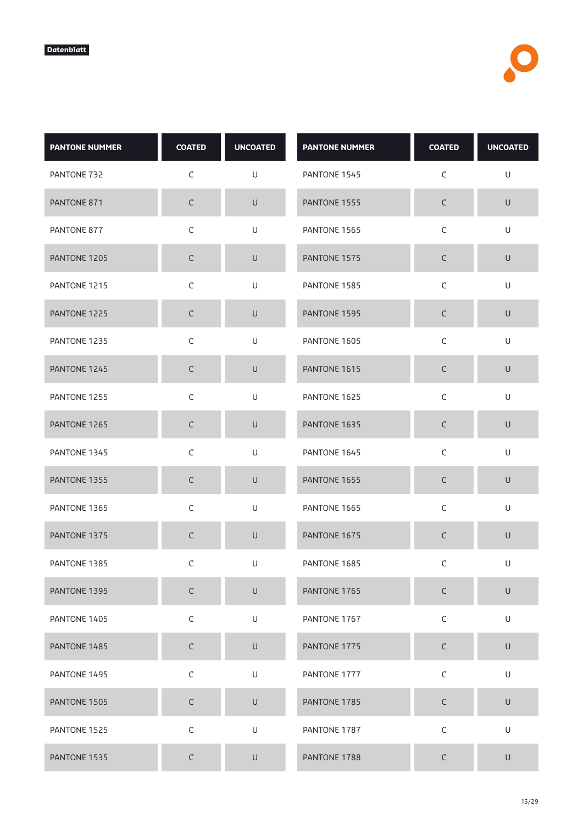| <b>PANTONE NUMMER</b> | <b>COATED</b> | <b>UNCOATED</b> | <b>PANTONE NUMMER</b> | <b>COATED</b> | <b>UNCOATED</b> |
|-----------------------|---------------|-----------------|-----------------------|---------------|-----------------|
| PANTONE 732           | $\mathsf C$   | U               | PANTONE 1545          | C             | U               |
| PANTONE 871           | $\mathsf C$   | $\sf U$         | PANTONE 1555          | $\mathsf C$   | $\sf U$         |
| PANTONE 877           | $\mathsf C$   | U               | PANTONE 1565          | $\mathsf C$   | U               |
| PANTONE 1205          | $\mathsf C$   | $\cup$          | PANTONE 1575          | С             | $\cup$          |
| PANTONE 1215          | $\mathsf C$   | U               | PANTONE 1585          | $\mathsf C$   | U               |
| PANTONE 1225          | $\mathsf C$   | $\cup$          | PANTONE 1595          | $\mathsf C$   | $\cup$          |
| PANTONE 1235          | C             | U               | PANTONE 1605          | C             | U               |
| PANTONE 1245          | $\mathsf C$   | $\sf U$         | PANTONE 1615          | C             | $\sf U$         |
| PANTONE 1255          | $\mathsf C$   | $\sf U$         | PANTONE 1625          | $\mathsf C$   | $\cup$          |
| PANTONE 1265          | $\mathsf C$   | $\cup$          | PANTONE 1635          | $\mathsf C$   | $\cup$          |
| PANTONE 1345          | $\mathsf C$   | U               | PANTONE 1645          | $\mathsf C$   | U               |
| PANTONE 1355          | C             | $\cup$          | PANTONE 1655          | $\mathsf C$   | U               |
| PANTONE 1365          | $\mathsf C$   | U               | PANTONE 1665          | $\mathsf C$   | U               |
| PANTONE 1375          | $\mathsf C$   | $\cup$          | PANTONE 1675          | $\mathsf C$   | U               |
| PANTONE 1385          | С             | U               | PANTONE 1685          | C             | U               |
| PANTONE 1395          | $\mathsf C$   | $\sf U$         | PANTONE 1765          | $\mathsf C$   | $\sf U$         |
| PANTONE 1405          | $\mathsf C$   | U               | PANTONE 1767          | $\mathsf C$   | U               |
| PANTONE 1485          | $\mathsf C$   | $\sf U$         | PANTONE 1775          | $\mathsf C$   | $\sf U$         |
| PANTONE 1495          | $\mathsf C$   | U               | PANTONE 1777          | $\mathsf C$   | U               |
| PANTONE 1505          | $\mathsf C$   | $\sf U$         | PANTONE 1785          | $\mathsf C$   | $\sf U$         |
| PANTONE 1525          | $\mathsf C$   | U               | PANTONE 1787          | $\mathsf C$   | U               |
| PANTONE 1535          | $\mathsf C$   | U               | PANTONE 1788          | С             | $\sf U$         |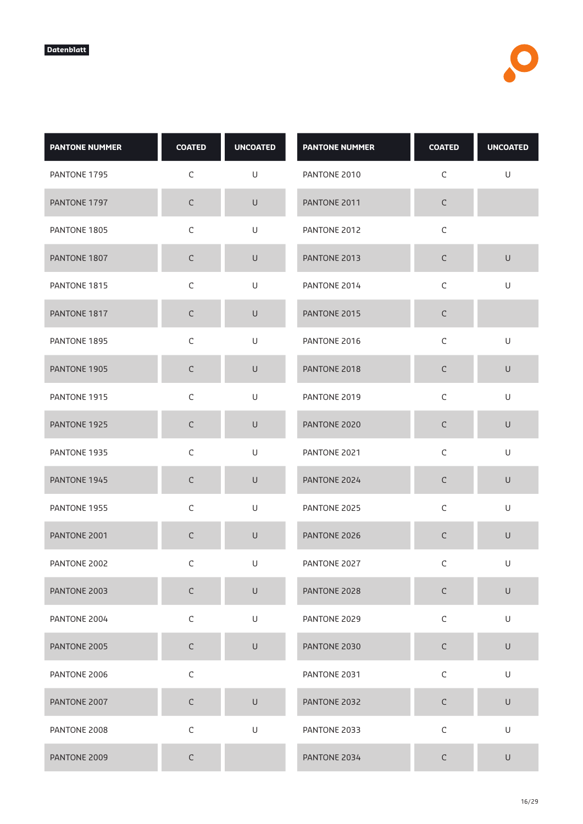| <b>PANTONE NUMMER</b> | <b>COATED</b> | <b>UNCOATED</b> | <b>PANTONE NUMMER</b> | <b>COATED</b> | <b>UNCOATED</b>                                                                                            |
|-----------------------|---------------|-----------------|-----------------------|---------------|------------------------------------------------------------------------------------------------------------|
| PANTONE 1795          | $\mathsf C$   | U               | PANTONE 2010          | C             | U                                                                                                          |
| PANTONE 1797          | $\mathsf C$   | $\sf U$         | PANTONE 2011          | $\mathsf C$   |                                                                                                            |
| PANTONE 1805          | $\mathsf C$   | U               | PANTONE 2012          | $\mathsf C$   |                                                                                                            |
| PANTONE 1807          | C             | $\cup$          | PANTONE 2013          | С             | $\sf U$                                                                                                    |
| PANTONE 1815          | $\mathsf C$   | U               | PANTONE 2014          | $\mathsf C$   | U                                                                                                          |
| PANTONE 1817          | $\mathsf C$   | U               | PANTONE 2015          | $\mathsf C$   |                                                                                                            |
| PANTONE 1895          | C             | U               | PANTONE 2016          | C             | U                                                                                                          |
| PANTONE 1905          | $\mathsf C$   | $\cup$          | PANTONE 2018          | $\mathsf C$   | $\cup$                                                                                                     |
| PANTONE 1915          | $\mathsf C$   | U               | PANTONE 2019          | $\mathsf C$   | $\cup$                                                                                                     |
| PANTONE 1925          | $\mathsf C$   | U               | PANTONE 2020          | $\mathsf C$   | $\cup$                                                                                                     |
| PANTONE 1935          | $\mathsf C$   | U               | PANTONE 2021          | $\mathsf C$   | U                                                                                                          |
| PANTONE 1945          | C             | $\cup$          | PANTONE 2024          | C             | $\cup$                                                                                                     |
| PANTONE 1955          | $\mathsf C$   | $\mathsf U$     | PANTONE 2025          | $\mathsf C$   | $\mathsf{U}% _{T}=\mathsf{U}_{T}\!\left( a,b\right) ,\ \mathsf{U}_{T}=\mathsf{U}_{T}\!\left( a,b\right) ,$ |
| PANTONE 2001          | C             | $\mathsf U$     | PANTONE 2026          | С             | $\mathsf{U}$                                                                                               |
| PANTONE 2002          | C             | U               | PANTONE 2027          | C             | U                                                                                                          |
| PANTONE 2003          | $\mathsf C$   | $\sf U$         | PANTONE 2028          | $\mathsf C$   | $\sf U$                                                                                                    |
| PANTONE 2004          | $\mathsf C$   | U               | PANTONE 2029          | $\mathsf C$   | U                                                                                                          |
| PANTONE 2005          | $\mathsf C$   | $\sf U$         | PANTONE 2030          | $\mathsf C$   | $\mathsf U$                                                                                                |
| PANTONE 2006          | $\mathsf C$   |                 | PANTONE 2031          | $\mathsf C$   | U                                                                                                          |
| PANTONE 2007          | $\mathsf C$   | $\cup$          | PANTONE 2032          | $\mathsf C$   | $\cup$                                                                                                     |
| PANTONE 2008          | $\mathsf C$   | $\mathsf U$     | PANTONE 2033          | $\mathsf C$   | U                                                                                                          |
| PANTONE 2009          | $\mathsf C$   |                 | PANTONE 2034          | С             | $\cup$                                                                                                     |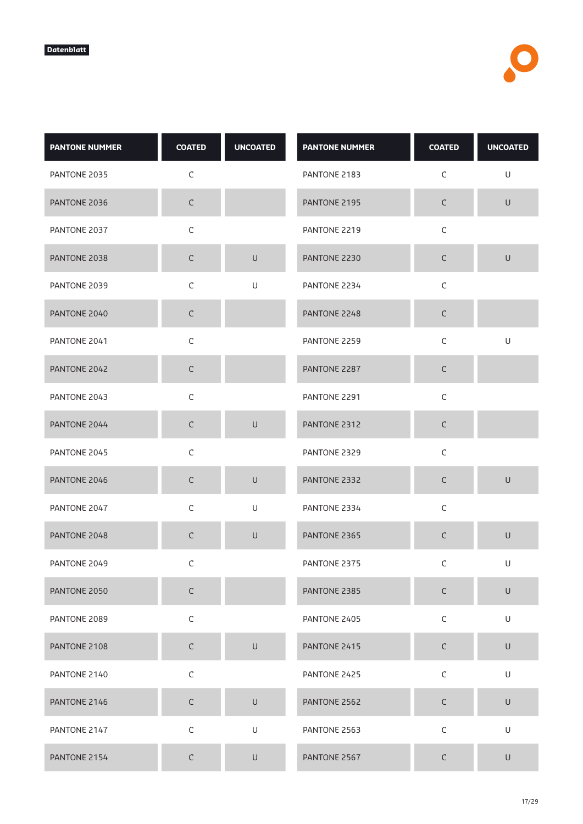| <b>PANTONE NUMMER</b> | <b>COATED</b> | <b>UNCOATED</b> | <b>PANTONE NUMMER</b> | <b>COATED</b> | <b>UNCOATED</b>                                                                                            |
|-----------------------|---------------|-----------------|-----------------------|---------------|------------------------------------------------------------------------------------------------------------|
| PANTONE 2035          | C             |                 | PANTONE 2183          | C             | U                                                                                                          |
| PANTONE 2036          | $\mathsf C$   |                 | PANTONE 2195          | $\mathsf C$   | $\cup$                                                                                                     |
| PANTONE 2037          | $\mathsf C$   |                 | PANTONE 2219          | $\mathsf C$   |                                                                                                            |
| PANTONE 2038          | $\mathsf C$   | $\cup$          | PANTONE 2230          | $\mathsf C$   | $\cup$                                                                                                     |
| PANTONE 2039          | $\mathsf C$   | U               | PANTONE 2234          | $\mathsf C$   |                                                                                                            |
| PANTONE 2040          | $\mathsf C$   |                 | PANTONE 2248          | $\mathsf C$   |                                                                                                            |
| PANTONE 2041          | C             |                 | PANTONE 2259          | C             | U                                                                                                          |
| PANTONE 2042          | $\mathsf C$   |                 | PANTONE 2287          | $\mathsf C$   |                                                                                                            |
| PANTONE 2043          | $\mathsf C$   |                 | PANTONE 2291          | $\mathsf C$   |                                                                                                            |
| PANTONE 2044          | $\mathsf C$   | $\mathsf{U}$    | PANTONE 2312          | $\mathsf C$   |                                                                                                            |
| PANTONE 2045          | $\mathsf C$   |                 | PANTONE 2329          | $\mathsf C$   |                                                                                                            |
| PANTONE 2046          | $\mathsf C$   | U               | PANTONE 2332          | $\mathsf C$   | U                                                                                                          |
| PANTONE 2047          | $\mathsf C$   | U               | PANTONE 2334          | $\mathsf C$   |                                                                                                            |
| PANTONE 2048          | $\mathsf C$   | $\sf U$         | PANTONE 2365          | $\mathsf C$   | $\cup$                                                                                                     |
| PANTONE 2049          | C             |                 | PANTONE 2375          | С             | U                                                                                                          |
| PANTONE 2050          | $\mathsf C$   |                 | PANTONE 2385          | $\mathsf C$   | $\cup$                                                                                                     |
| PANTONE 2089          | $\mathsf C$   |                 | PANTONE 2405          | $\mathsf C$   | $\mathsf{U}% _{T}=\mathsf{U}_{T}\!\left( a,b\right) ,\ \mathsf{U}_{T}=\mathsf{U}_{T}\!\left( a,b\right) ,$ |
| PANTONE 2108          | $\mathsf C$   | $\mathsf{U}$    | PANTONE 2415          | $\mathsf C$   | $\mathsf{U}% _{T}=\mathsf{U}_{T}\!\left( a,b\right) ,\ \mathsf{U}_{T}=\mathsf{U}_{T}\!\left( a,b\right) ,$ |
| PANTONE 2140          | $\mathsf C$   |                 | PANTONE 2425          | $\mathsf C$   | U                                                                                                          |
| PANTONE 2146          | $\mathsf C$   | $\sf U$         | PANTONE 2562          | $\mathsf C$   | $\cup$                                                                                                     |
| PANTONE 2147          | $\mathsf C$   | $\mathsf U$     | PANTONE 2563          | $\mathsf C$   | U                                                                                                          |
| PANTONE 2154          | $\mathsf C$   | $\cup$          | PANTONE 2567          | $\mathsf C$   | $\cup$                                                                                                     |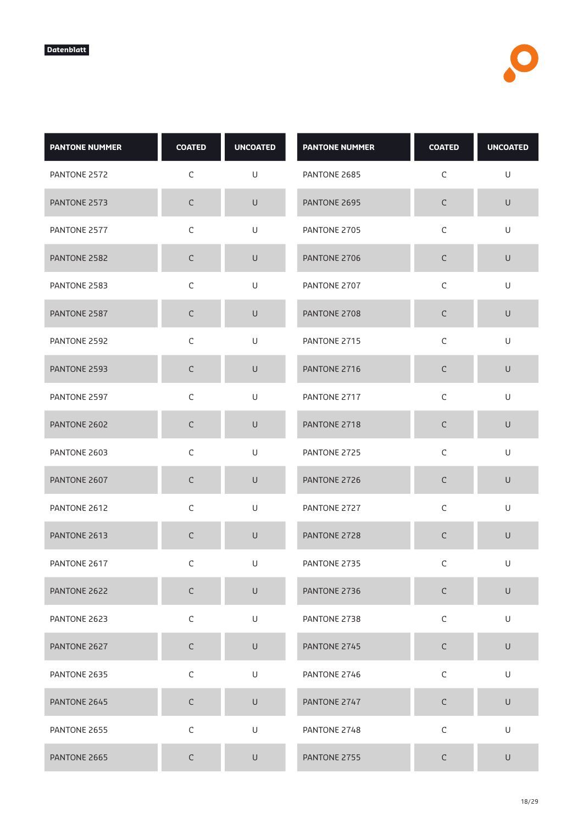| <b>PANTONE NUMMER</b> | <b>COATED</b> | <b>UNCOATED</b> | <b>PANTONE NUMMER</b> | <b>COATED</b> | <b>UNCOATED</b> |
|-----------------------|---------------|-----------------|-----------------------|---------------|-----------------|
| PANTONE 2572          | C             | U               | PANTONE 2685          | C             | U               |
| PANTONE 2573          | $\mathsf C$   | $\sf U$         | PANTONE 2695          | С             | $\sf U$         |
| PANTONE 2577          | $\mathsf C$   | U               | PANTONE 2705          | $\mathsf C$   | U               |
| PANTONE 2582          | $\mathsf C$   | $\cup$          | PANTONE 2706          | С             | $\cup$          |
| PANTONE 2583          | $\mathsf C$   | U               | PANTONE 2707          | $\mathsf C$   | U               |
| PANTONE 2587          | $\mathsf C$   | $\cup$          | PANTONE 2708          | $\mathsf C$   | $\cup$          |
| PANTONE 2592          | $\mathsf C$   | U               | PANTONE 2715          | C             | U               |
| PANTONE 2593          | $\mathsf C$   | $\sf U$         | PANTONE 2716          | C             | $\sf U$         |
| PANTONE 2597          | $\mathsf C$   | U               | PANTONE 2717          | $\mathsf C$   | $\cup$          |
| PANTONE 2602          | $\mathsf C$   | $\cup$          | PANTONE 2718          | С             | $\cup$          |
| PANTONE 2603          | $\mathsf C$   | U               | PANTONE 2725          | $\mathsf C$   | U               |
| PANTONE 2607          | C             | $\cup$          | PANTONE 2726          | C             | U               |
| PANTONE 2612          | $\mathsf C$   | U               | PANTONE 2727          | $\mathsf C$   | U               |
| PANTONE 2613          | C             | $\cup$          | PANTONE 2728          | $\mathsf C$   | U               |
| PANTONE 2617          | C             | U               | PANTONE 2735          | C             | U               |
| PANTONE 2622          | $\mathsf C$   | $\cup$          | PANTONE 2736          | $\mathsf C$   | $\sf U$         |
| PANTONE 2623          | $\mathsf C$   | U               | PANTONE 2738          | $\mathsf C$   | U               |
| PANTONE 2627          | $\mathsf C$   | $\sf U$         | PANTONE 2745          | $\mathsf C$   | $\sf U$         |
| PANTONE 2635          | $\mathsf C$   | $\mathsf U$     | PANTONE 2746          | $\mathsf C$   | U               |
| PANTONE 2645          | $\mathsf C$   | $\sf U$         | PANTONE 2747          | $\mathsf C$   | $\sf U$         |
| PANTONE 2655          | $\mathsf C$   | U               | PANTONE 2748          | $\mathsf C$   | U               |
| PANTONE 2665          | $\mathsf C$   | U               | PANTONE 2755          | С             | $\cup$          |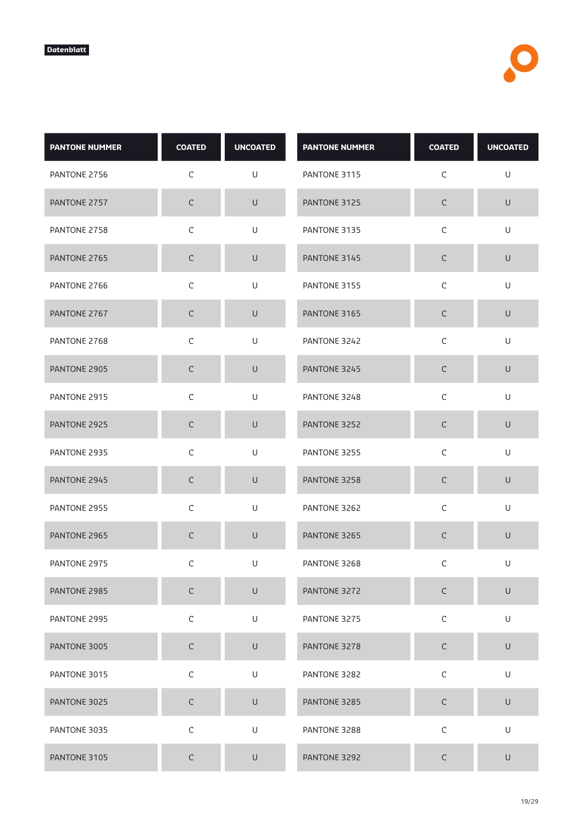| <b>PANTONE NUMMER</b> | <b>COATED</b> | <b>UNCOATED</b> | <b>PANTONE NUMMER</b> | <b>COATED</b> | <b>UNCOATED</b> |
|-----------------------|---------------|-----------------|-----------------------|---------------|-----------------|
| PANTONE 2756          | C             | U               | PANTONE 3115          | C             | U               |
| PANTONE 2757          | $\mathsf C$   | $\sf U$         | PANTONE 3125          | С             | $\sf U$         |
| PANTONE 2758          | $\mathsf C$   | U               | PANTONE 3135          | $\mathsf C$   | U               |
| PANTONE 2765          | $\mathsf C$   | $\cup$          | PANTONE 3145          | C             | $\cup$          |
| PANTONE 2766          | $\mathsf C$   | U               | PANTONE 3155          | $\mathsf C$   | U               |
| PANTONE 2767          | $\mathsf C$   | $\cup$          | PANTONE 3165          | $\mathsf C$   | $\cup$          |
| PANTONE 2768          | $\mathsf C$   | U               | PANTONE 3242          | C             | U               |
| PANTONE 2905          | $\mathsf C$   | $\sf U$         | PANTONE 3245          | C             | $\sf U$         |
| PANTONE 2915          | $\mathsf C$   | U               | PANTONE 3248          | $\mathsf C$   | $\cup$          |
| PANTONE 2925          | $\mathsf C$   | $\cup$          | PANTONE 3252          | С             | $\cup$          |
| PANTONE 2935          | $\mathsf C$   | U               | PANTONE 3255          | $\mathsf C$   | U               |
| PANTONE 2945          | C             | $\cup$          | PANTONE 3258          | $\mathsf C$   | $\mathsf U$     |
| PANTONE 2955          | $\mathsf C$   | U               | PANTONE 3262          | $\mathsf C$   | U               |
| PANTONE 2965          | $\mathsf C$   | $\cup$          | PANTONE 3265          | $\mathsf C$   | $\cup$          |
| PANTONE 2975          | C             | U               | PANTONE 3268          | C             | U               |
| PANTONE 2985          | $\mathsf C$   | $\sf U$         | PANTONE 3272          | $\mathsf C$   | $\sf U$         |
| PANTONE 2995          | $\mathsf C$   | U               | PANTONE 3275          | $\mathsf C$   | U               |
| PANTONE 3005          | $\mathsf C$   | $\sf U$         | PANTONE 3278          | $\mathsf C$   | $\sf U$         |
| PANTONE 3015          | $\mathsf C$   | $\mathsf U$     | PANTONE 3282          | $\mathsf C$   | U               |
| PANTONE 3025          | $\mathsf C$   | $\sf U$         | PANTONE 3285          | $\mathsf C$   | $\sf U$         |
| PANTONE 3035          | $\mathsf C$   | U               | PANTONE 3288          | $\mathsf C$   | U               |
| PANTONE 3105          | $\mathsf C$   | U               | PANTONE 3292          | С             | $\cup$          |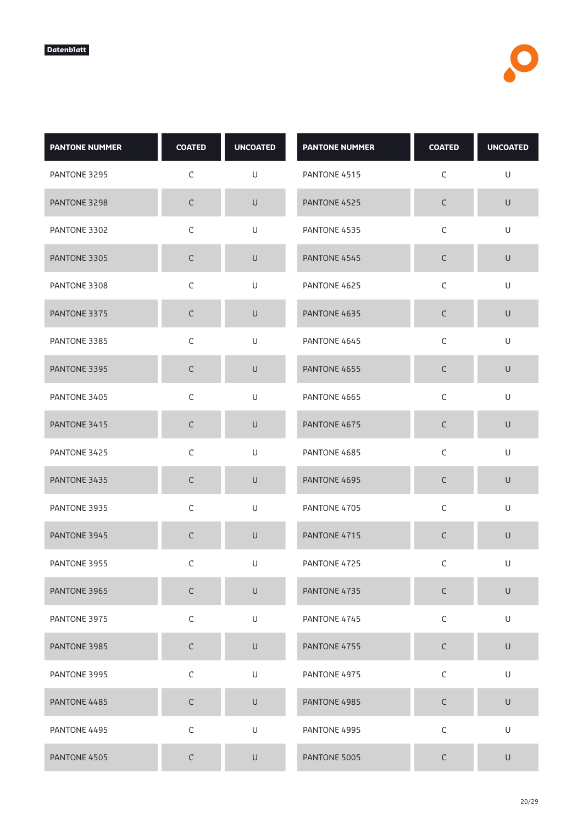| <b>PANTONE NUMMER</b> | <b>COATED</b> | <b>UNCOATED</b> | <b>PANTONE NUMMER</b> | <b>COATED</b> | <b>UNCOATED</b> |
|-----------------------|---------------|-----------------|-----------------------|---------------|-----------------|
| PANTONE 3295          | $\mathsf C$   | U               | PANTONE 4515          | $\mathsf C$   | U               |
| PANTONE 3298          | $\mathsf C$   | U               | PANTONE 4525          | $\mathsf C$   | $\cup$          |
| PANTONE 3302          | C             | U               | PANTONE 4535          | C             | U               |
| PANTONE 3305          | $\mathsf C$   | U               | PANTONE 4545          | $\mathsf C$   | U               |
| PANTONE 3308          | $\mathsf C$   | U               | PANTONE 4625          | $\mathsf C$   | U               |
| PANTONE 3375          | $\mathsf C$   | $\cup$          | PANTONE 4635          | $\mathsf C$   | $\cup$          |
| PANTONE 3385          | $\mathsf C$   | U               | PANTONE 4645          | C             | U               |
| PANTONE 3395          | $\mathsf C$   | $\cup$          | PANTONE 4655          | $\mathsf C$   | $\cup$          |
| PANTONE 3405          | $\mathsf C$   | U               | PANTONE 4665          | $\mathsf C$   | U               |
| PANTONE 3415          | $\mathsf C$   | $\cup$          | PANTONE 4675          | $\mathsf C$   | $\cup$          |
| PANTONE 3425          | $\mathsf C$   | U               | PANTONE 4685          | $\mathsf C$   | U               |
| PANTONE 3435          | C             | $\cup$          | PANTONE 4695          | $\mathsf C$   | $\cup$          |
| PANTONE 3935          | $\mathsf C$   | U               | PANTONE 4705          | $\mathsf C$   | U               |
| PANTONE 3945          | $\mathsf C$   | $\cup$          | PANTONE 4715          | $\mathsf C$   | $\cup$          |
| PANTONE 3955          | C             | U               | PANTONE 4725          | C             | U               |
| PANTONE 3965          | $\mathsf C$   | $\cup$          | PANTONE 4735          | $\mathsf C$   | $\sf U$         |
| PANTONE 3975          | $\mathsf C$   | U               | PANTONE 4745          | $\mathsf C$   | U               |
| PANTONE 3985          | $\mathsf C$   | $\cup$          | PANTONE 4755          | $\mathsf C$   | $\sf U$         |
| PANTONE 3995          | $\mathsf C$   | U               | PANTONE 4975          | $\mathsf C$   | U               |
| PANTONE 4485          | $\mathsf C$   | $\mathsf U$     | PANTONE 4985          | $\mathsf C$   | $\sf U$         |
| PANTONE 4495          | $\mathsf C$   | U               | PANTONE 4995          | $\mathsf C$   | U               |
| PANTONE 4505          | $\mathsf C$   | $\cup$          | PANTONE 5005          | $\mathsf C$   | $\cup$          |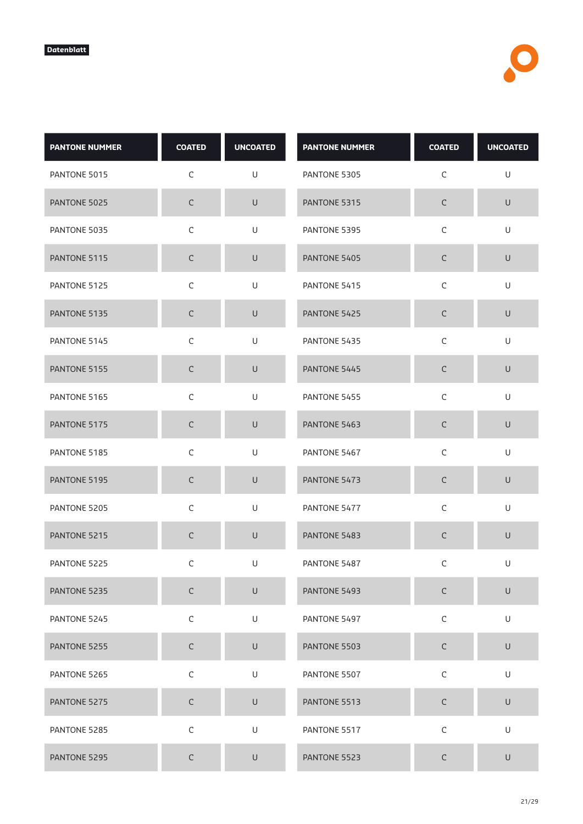| <b>PANTONE NUMMER</b> | <b>COATED</b> | <b>UNCOATED</b> | <b>PANTONE NUMMER</b> | <b>COATED</b> | <b>UNCOATED</b> |
|-----------------------|---------------|-----------------|-----------------------|---------------|-----------------|
| PANTONE 5015          | $\mathsf C$   | U               | PANTONE 5305          | C             | U               |
| PANTONE 5025          | $\mathsf C$   | $\sf U$         | PANTONE 5315          | $\mathsf C$   | $\mathsf U$     |
| PANTONE 5035          | $\mathsf C$   | U               | PANTONE 5395          | $\mathsf C$   | U               |
| PANTONE 5115          | C             | $\cup$          | PANTONE 5405          | С             | $\cup$          |
| PANTONE 5125          | $\mathsf C$   | U               | PANTONE 5415          | $\mathsf C$   | U               |
| PANTONE 5135          | $\mathsf C$   | U               | PANTONE 5425          | $\mathsf C$   | U               |
| PANTONE 5145          | C             | U               | PANTONE 5435          | C             | U               |
| PANTONE 5155          | $\mathsf C$   | $\cup$          | PANTONE 5445          | C             | U               |
| PANTONE 5165          | $\mathsf C$   | U               | PANTONE 5455          | $\mathsf C$   | U               |
| PANTONE 5175          | $\mathsf C$   | $\cup$          | PANTONE 5463          | $\mathsf C$   | $\cup$          |
| PANTONE 5185          | $\mathsf C$   | U               | PANTONE 5467          | $\mathsf C$   | U               |
| PANTONE 5195          | C             | $\cup$          | PANTONE 5473          | C             | $\cup$          |
| PANTONE 5205          | $\mathsf C$   | $\cup$          | PANTONE 5477          | $\mathsf C$   | $\cup$          |
| PANTONE 5215          | C             | $\sf U$         | PANTONE 5483          | С             | $\cup$          |
| PANTONE 5225          | C             | U               | PANTONE 5487          | C             | U               |
| PANTONE 5235          | $\mathsf C$   | $\sf U$         | PANTONE 5493          | $\mathsf C$   | $\sf U$         |
| PANTONE 5245          | $\mathsf C$   | U               | PANTONE 5497          | $\mathsf C$   | U               |
| PANTONE 5255          | $\mathsf C$   | $\mathsf U$     | PANTONE 5503          | $\mathsf C$   | $\mathsf U$     |
| PANTONE 5265          | $\mathsf C$   | U               | PANTONE 5507          | $\mathsf C$   | U               |
| PANTONE 5275          | $\mathsf C$   | $\sf U$         | PANTONE 5513          | $\mathsf C$   | $\cup$          |
| PANTONE 5285          | $\mathsf C$   | U               | PANTONE 5517          | $\mathsf C$   | U               |
| PANTONE 5295          | $\mathsf C$   | $\sf U$         | PANTONE 5523          | $\mathsf C$   | $\cup$          |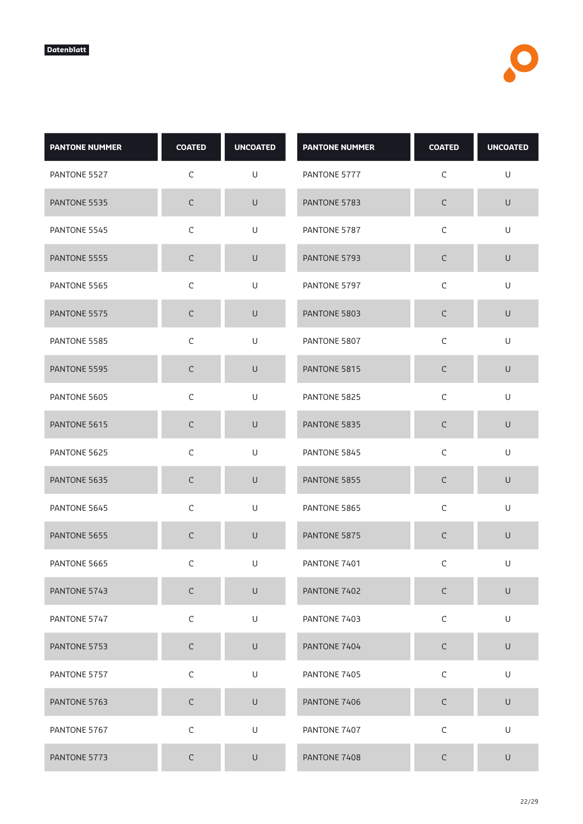| <b>PANTONE NUMMER</b> | <b>COATED</b> | <b>UNCOATED</b> | <b>PANTONE NUMMER</b> | <b>COATED</b> | <b>UNCOATED</b> |
|-----------------------|---------------|-----------------|-----------------------|---------------|-----------------|
| PANTONE 5527          | $\mathsf C$   | U               | PANTONE 5777          | C             | U               |
| PANTONE 5535          | $\mathsf C$   | $\sf U$         | PANTONE 5783          | $\mathsf C$   | $\mathsf U$     |
| PANTONE 5545          | $\mathsf C$   | U               | PANTONE 5787          | $\mathsf C$   | U               |
| PANTONE 5555          | C             | $\cup$          | PANTONE 5793          | C             | $\cup$          |
| PANTONE 5565          | $\mathsf C$   | U               | PANTONE 5797          | $\mathsf C$   | U               |
| PANTONE 5575          | $\mathsf C$   | U               | PANTONE 5803          | $\mathsf C$   | U               |
| PANTONE 5585          | C             | U               | PANTONE 5807          | C             | U               |
| PANTONE 5595          | $\mathsf C$   | $\cup$          | PANTONE 5815          | $\mathsf C$   | U               |
| PANTONE 5605          | $\mathsf C$   | U               | PANTONE 5825          | $\mathsf C$   | U               |
| PANTONE 5615          | $\mathsf C$   | $\cup$          | PANTONE 5835          | $\mathsf C$   | $\cup$          |
| PANTONE 5625          | $\mathsf C$   | U               | PANTONE 5845          | $\mathsf C$   | U               |
| PANTONE 5635          | C             | $\cup$          | PANTONE 5855          | C             | $\cup$          |
| PANTONE 5645          | $\mathsf C$   | $\cup$          | PANTONE 5865          | $\mathsf C$   | $\cup$          |
| PANTONE 5655          | C             | $\cup$          | PANTONE 5875          | С             | $\mathsf{U}$    |
| PANTONE 5665          | C             | U               | PANTONE 7401          | C             | U               |
| PANTONE 5743          | $\mathsf C$   | $\sf U$         | PANTONE 7402          | $\mathsf C$   | $\sf U$         |
| PANTONE 5747          | $\mathsf C$   | U               | PANTONE 7403          | $\mathsf C$   | U               |
| PANTONE 5753          | $\mathsf C$   | $\mathsf U$     | PANTONE 7404          | $\mathsf C$   | $\mathsf U$     |
| PANTONE 5757          | $\mathsf C$   | U               | PANTONE 7405          | $\mathsf C$   | U               |
| PANTONE 5763          | $\mathsf C$   | $\mathsf U$     | PANTONE 7406          | $\mathsf C$   | $\sf U$         |
| PANTONE 5767          | $\mathsf C$   | $\mathsf U$     | PANTONE 7407          | $\mathsf C$   | U               |
| PANTONE 5773          | $\mathsf C$   | $\cup$          | PANTONE 7408          | С             | $\cup$          |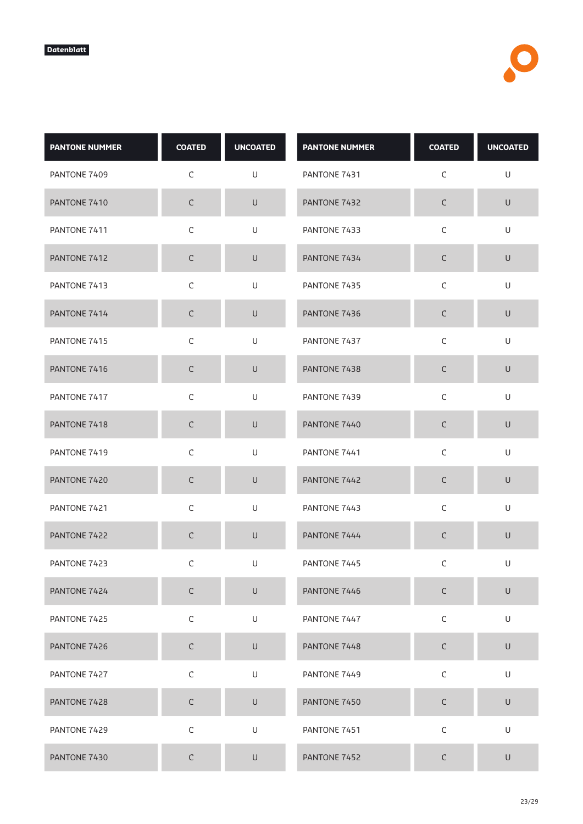| <b>PANTONE NUMMER</b> | <b>COATED</b> | <b>UNCOATED</b> | <b>PANTONE NUMMER</b> | <b>COATED</b> | <b>UNCOATED</b>                                                                                            |
|-----------------------|---------------|-----------------|-----------------------|---------------|------------------------------------------------------------------------------------------------------------|
| PANTONE 7409          | $\mathsf C$   | U               | PANTONE 7431          | C             | U                                                                                                          |
| PANTONE 7410          | $\mathsf C$   | $\sf U$         | PANTONE 7432          | $\mathsf C$   | $\mathsf U$                                                                                                |
| PANTONE 7411          | $\mathsf C$   | U               | PANTONE 7433          | $\mathsf C$   | U                                                                                                          |
| PANTONE 7412          | $\mathsf C$   | $\cup$          | PANTONE 7434          | С             | $\cup$                                                                                                     |
| PANTONE 7413          | $\mathsf C$   | U               | PANTONE 7435          | $\mathsf C$   | U                                                                                                          |
| PANTONE 7414          | $\mathsf C$   | $\sf U$         | PANTONE 7436          | $\mathsf C$   | $\sf U$                                                                                                    |
| PANTONE 7415          | C             | U               | PANTONE 7437          | C             | U                                                                                                          |
| PANTONE 7416          | $\mathsf C$   | $\cup$          | PANTONE 7438          | $\mathsf C$   | U                                                                                                          |
| PANTONE 7417          | $\mathsf C$   | U               | PANTONE 7439          | $\mathsf C$   | U                                                                                                          |
| PANTONE 7418          | $\mathsf C$   | $\cup$          | PANTONE 7440          | $\mathsf C$   | $\cup$                                                                                                     |
| PANTONE 7419          | $\mathsf C$   | U               | PANTONE 7441          | $\mathsf C$   | U                                                                                                          |
| PANTONE 7420          | C             | $\cup$          | PANTONE 7442          | C             | $\cup$                                                                                                     |
| PANTONE 7421          | $\mathsf C$   | $\mathsf U$     | PANTONE 7443          | $\mathsf C$   | $\mathsf{U}% _{T}=\mathsf{U}_{T}\!\left( a,b\right) ,\ \mathsf{U}_{T}=\mathsf{U}_{T}\!\left( a,b\right) ,$ |
| PANTONE 7422          | C             | $\sf U$         | PANTONE 7444          | $\mathsf C$   | $\mathsf U$                                                                                                |
| PANTONE 7423          | C             | U               | PANTONE 7445          | C             | U                                                                                                          |
| PANTONE 7424          | $\mathsf C$   | $\sf U$         | PANTONE 7446          | $\mathsf C$   | $\sf U$                                                                                                    |
| PANTONE 7425          | $\mathsf C$   | U               | PANTONE 7447          | $\mathsf C$   | U                                                                                                          |
| PANTONE 7426          | $\mathsf C$   | $\mathsf U$     | PANTONE 7448          | $\mathsf C$   | $\mathsf U$                                                                                                |
| PANTONE 7427          | $\mathsf C$   | $\sf U$         | PANTONE 7449          | $\mathsf C$   | U                                                                                                          |
| PANTONE 7428          | $\mathsf C$   | $\mathsf U$     | PANTONE 7450          | $\mathsf C$   | $\cup$                                                                                                     |
| PANTONE 7429          | $\mathsf C$   | $\sf U$         | PANTONE 7451          | $\mathsf C$   | U                                                                                                          |
| PANTONE 7430          | $\mathsf C$   | $\cup$          | PANTONE 7452          | С             | $\cup$                                                                                                     |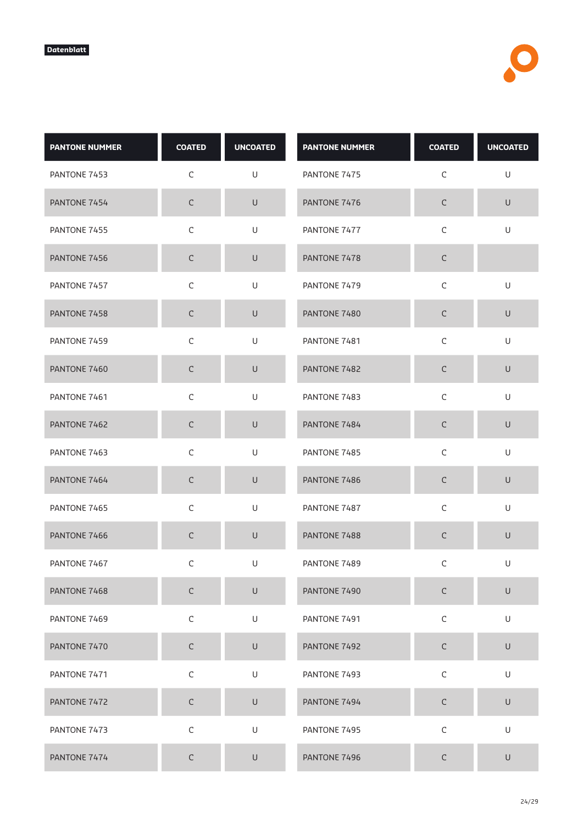| <b>PANTONE NUMMER</b> | <b>COATED</b> | <b>UNCOATED</b>                                                                                            | <b>PANTONE NUMMER</b> | <b>COATED</b> | <b>UNCOATED</b>                                                                                            |
|-----------------------|---------------|------------------------------------------------------------------------------------------------------------|-----------------------|---------------|------------------------------------------------------------------------------------------------------------|
| PANTONE 7453          | $\mathsf C$   | U                                                                                                          | PANTONE 7475          | C             | U                                                                                                          |
| PANTONE 7454          | $\mathsf C$   | $\sf U$                                                                                                    | PANTONE 7476          | $\mathsf C$   | $\sf U$                                                                                                    |
| PANTONE 7455          | $\mathsf C$   | U                                                                                                          | PANTONE 7477          | $\mathsf C$   | U                                                                                                          |
| PANTONE 7456          | $\mathsf C$   | $\cup$                                                                                                     | PANTONE 7478          | $\mathsf C$   |                                                                                                            |
| PANTONE 7457          | $\mathsf C$   | U                                                                                                          | PANTONE 7479          | $\mathsf C$   | $\sf U$                                                                                                    |
| PANTONE 7458          | $\mathsf C$   | U                                                                                                          | PANTONE 7480          | $\mathsf C$   | $\sf U$                                                                                                    |
| PANTONE 7459          | $\mathsf C$   | U                                                                                                          | PANTONE 7481          | C             | U                                                                                                          |
| PANTONE 7460          | $\mathsf C$   | $\cup$                                                                                                     | PANTONE 7482          | $\mathsf C$   | U                                                                                                          |
| PANTONE 7461          | $\mathsf C$   | U                                                                                                          | PANTONE 7483          | $\mathsf C$   | U                                                                                                          |
| PANTONE 7462          | $\mathsf C$   | $\cup$                                                                                                     | PANTONE 7484          | $\mathsf C$   | $\cup$                                                                                                     |
| PANTONE 7463          | $\mathsf C$   | U                                                                                                          | PANTONE 7485          | $\mathsf C$   | U                                                                                                          |
| PANTONE 7464          | C             | $\cup$                                                                                                     | PANTONE 7486          | $\mathsf C$   | $\cup$                                                                                                     |
| PANTONE 7465          | $\mathsf C$   | $\mathsf{U}% _{T}=\mathsf{U}_{T}\!\left( a,b\right) ,\ \mathsf{U}_{T}=\mathsf{U}_{T}\!\left( a,b\right) ,$ | PANTONE 7487          | $\mathsf C$   | $\mathsf{U}% _{T}=\mathsf{U}_{T}\!\left( a,b\right) ,\ \mathsf{U}_{T}=\mathsf{U}_{T}\!\left( a,b\right) ,$ |
| PANTONE 7466          | $\mathsf C$   | $\cup$                                                                                                     | PANTONE 7488          | $\mathsf C$   | $\sf U$                                                                                                    |
| PANTONE 7467          | C             | U                                                                                                          | PANTONE 7489          | С             | U                                                                                                          |
| PANTONE 7468          | $\mathsf C$   | $\cup$                                                                                                     | PANTONE 7490          | $\mathsf C$   | $\cup$                                                                                                     |
| PANTONE 7469          | $\mathsf C$   | U                                                                                                          | PANTONE 7491          | $\mathsf C$   | U                                                                                                          |
| PANTONE 7470          | $\mathsf C$   | $\cup$                                                                                                     | PANTONE 7492          | $\mathsf C$   | $\sf U$                                                                                                    |
| PANTONE 7471          | $\mathsf C$   | U                                                                                                          | PANTONE 7493          | $\mathsf C$   | U                                                                                                          |
| PANTONE 7472          | $\mathsf C$   | $\cup$                                                                                                     | PANTONE 7494          | $\mathsf C$   | $\cup$                                                                                                     |
| PANTONE 7473          | $\mathsf C$   | U                                                                                                          | PANTONE 7495          | $\mathsf C$   | U                                                                                                          |
| PANTONE 7474          | $\mathsf C$   | $\cup$                                                                                                     | PANTONE 7496          | $\mathsf C$   | $\cup$                                                                                                     |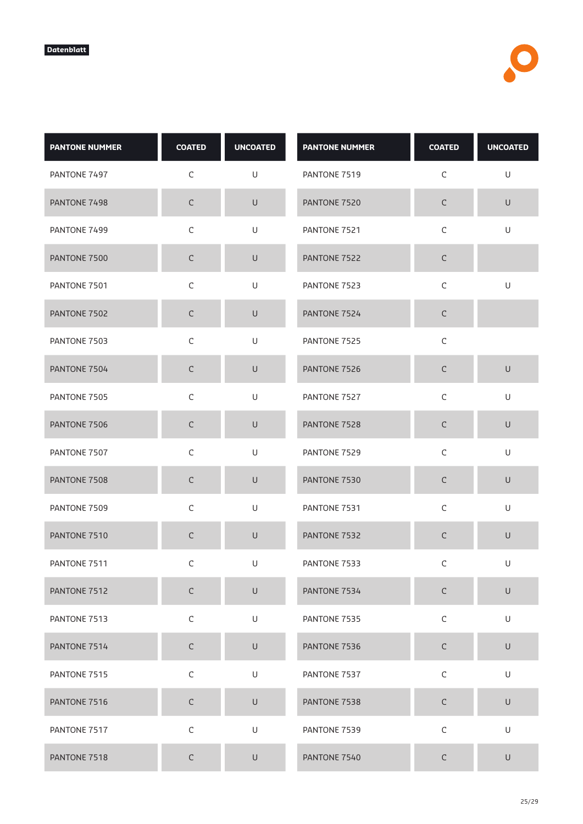| <b>PANTONE NUMMER</b> | <b>COATED</b> | <b>UNCOATED</b> | <b>PANTONE NUMMER</b> | <b>COATED</b> | <b>UNCOATED</b> |
|-----------------------|---------------|-----------------|-----------------------|---------------|-----------------|
| PANTONE 7497          | $\mathsf C$   | U               | PANTONE 7519          | $\mathsf C$   | U               |
| PANTONE 7498          | $\mathsf C$   | $\sf U$         | PANTONE 7520          | $\mathsf C$   | $\mathsf U$     |
| PANTONE 7499          | $\mathsf C$   | U               | PANTONE 7521          | $\mathsf C$   | U               |
| PANTONE 7500          | $\mathsf C$   | U               | PANTONE 7522          | $\mathsf C$   |                 |
| PANTONE 7501          | $\mathsf C$   | U               | PANTONE 7523          | $\mathsf C$   | U               |
| PANTONE 7502          | $\mathsf C$   | $\cup$          | PANTONE 7524          | $\mathsf C$   |                 |
| PANTONE 7503          | $\mathsf C$   | U               | PANTONE 7525          | C             |                 |
| PANTONE 7504          | $\mathsf C$   | $\cup$          | PANTONE 7526          | $\mathsf C$   | $\sf U$         |
| PANTONE 7505          | $\mathsf C$   | U               | PANTONE 7527          | $\mathsf C$   | $\cup$          |
| PANTONE 7506          | $\mathsf C$   | $\cup$          | PANTONE 7528          | $\mathsf C$   | $\cup$          |
| PANTONE 7507          | $\mathsf C$   | U               | PANTONE 7529          | $\mathsf C$   | U               |
| PANTONE 7508          | C             | $\cup$          | PANTONE 7530          | $\mathsf C$   | $\sf U$         |
| PANTONE 7509          | $\mathsf C$   | U               | PANTONE 7531          | $\mathsf C$   | U               |
| PANTONE 7510          | $\mathsf C$   | $\cup$          | PANTONE 7532          | $\mathsf C$   | $\sf U$         |
| PANTONE 7511          | $\mathsf C$   | U               | PANTONE 7533          | C             | U               |
| PANTONE 7512          | $\mathsf C$   | $\mathsf U$     | PANTONE 7534          | $\mathsf C$   | $\sf U$         |
| PANTONE 7513          | $\mathsf C$   | U               | PANTONE 7535          | $\mathsf C$   | U               |
| PANTONE 7514          | $\mathsf C$   | $\mathsf U$     | PANTONE 7536          | $\mathsf C$   | $\sf U$         |
| PANTONE 7515          | $\mathsf C$   | $\mathsf U$     | PANTONE 7537          | $\mathsf C$   | U               |
| PANTONE 7516          | $\mathsf C$   | $\mathsf U$     | PANTONE 7538          | $\mathsf C$   | $\sf U$         |
| PANTONE 7517          | $\mathsf C$   | U               | PANTONE 7539          | $\mathsf C$   | U               |
| PANTONE 7518          | $\mathsf C$   | U               | PANTONE 7540          | $\mathsf C$   | $\cup$          |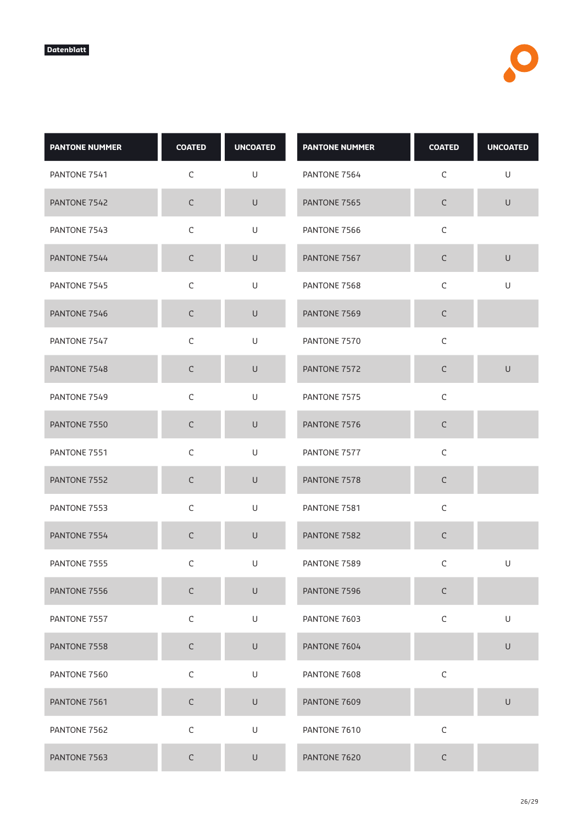| <b>PANTONE NUMMER</b> | <b>COATED</b> | <b>UNCOATED</b> | <b>PANTONE NUMMER</b> | <b>COATED</b> | <b>UNCOATED</b> |
|-----------------------|---------------|-----------------|-----------------------|---------------|-----------------|
| PANTONE 7541          | C             | U               | PANTONE 7564          | $\mathsf C$   | U               |
| PANTONE 7542          | $\mathsf C$   | $\sf U$         | PANTONE 7565          | $\mathsf C$   | $\mathsf U$     |
| PANTONE 7543          | $\mathsf C$   | U               | PANTONE 7566          | $\mathsf C$   |                 |
| PANTONE 7544          | $\mathsf C$   | U               | PANTONE 7567          | $\mathsf C$   | $\cup$          |
| PANTONE 7545          | $\mathsf C$   | U               | PANTONE 7568          | $\mathsf C$   | U               |
| PANTONE 7546          | $\mathsf C$   | $\cup$          | PANTONE 7569          | $\mathsf C$   |                 |
| PANTONE 7547          | $\mathsf C$   | U               | PANTONE 7570          | $\mathsf C$   |                 |
| PANTONE 7548          | $\mathsf C$   | $\cup$          | PANTONE 7572          | $\mathsf C$   | $\cup$          |
| PANTONE 7549          | $\mathsf C$   | U               | PANTONE 7575          | $\mathsf C$   |                 |
| PANTONE 7550          | $\mathsf C$   | $\cup$          | PANTONE 7576          | $\mathsf C$   |                 |
| PANTONE 7551          | $\mathsf C$   | U               | PANTONE 7577          | $\mathsf C$   |                 |
| PANTONE 7552          | $\mathsf C$   | $\cup$          | PANTONE 7578          | $\mathsf C$   |                 |
| PANTONE 7553          | $\mathsf C$   | U               | PANTONE 7581          | $\mathsf C$   |                 |
| PANTONE 7554          | $\mathsf C$   | $\cup$          | PANTONE 7582          | $\mathsf C$   |                 |
| PANTONE 7555          | $\mathsf C$   | U               | PANTONE 7589          | $\mathsf C$   | U               |
| PANTONE 7556          | $\mathsf C$   | $\cup$          | PANTONE 7596          | $\mathsf C$   |                 |
| PANTONE 7557          | $\mathsf C$   | U               | PANTONE 7603          | $\mathsf C$   | U               |
| PANTONE 7558          | $\mathsf C$   | $\sf U$         | PANTONE 7604          |               | $\cup$          |
| PANTONE 7560          | $\mathsf C$   | U               | PANTONE 7608          | $\mathsf C$   |                 |
| PANTONE 7561          | $\mathsf C$   | $\mathsf U$     | PANTONE 7609          |               | $\mathsf U$     |
| PANTONE 7562          | $\mathsf C$   | U               | PANTONE 7610          | $\mathsf C$   |                 |
| PANTONE 7563          | $\mathsf C$   | $\cup$          | PANTONE 7620          | $\mathsf C$   |                 |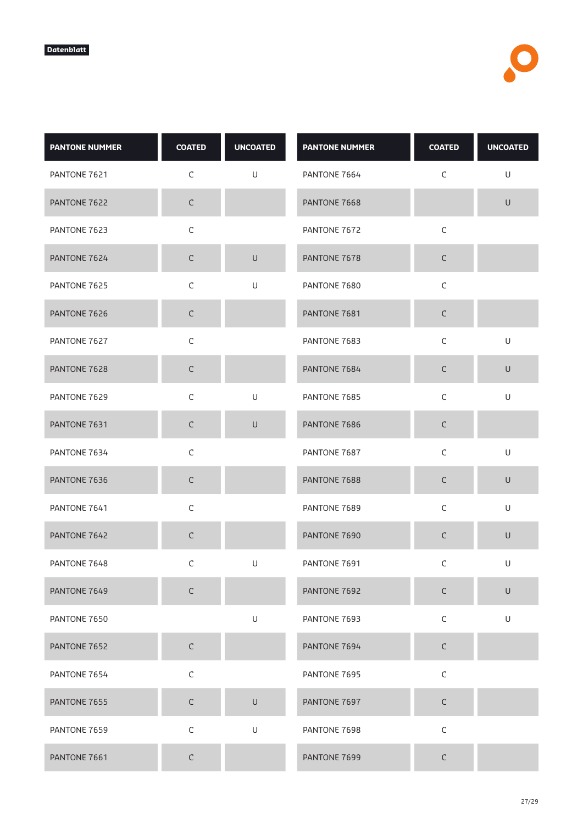| <b>PANTONE NUMMER</b> | <b>COATED</b> | <b>UNCOATED</b> | <b>PANTONE NUMMER</b> | <b>COATED</b> | <b>UNCOATED</b> |
|-----------------------|---------------|-----------------|-----------------------|---------------|-----------------|
| PANTONE 7621          | $\mathsf C$   | U               | PANTONE 7664          | $\mathsf C$   | U               |
| PANTONE 7622          | $\mathsf C$   |                 | PANTONE 7668          |               | $\mathsf U$     |
| PANTONE 7623          | C             |                 | PANTONE 7672          | $\mathsf C$   |                 |
| PANTONE 7624          | $\mathsf C$   | $\cup$          | PANTONE 7678          | $\mathsf C$   |                 |
| PANTONE 7625          | $\mathsf C$   | U               | PANTONE 7680          | $\mathsf C$   |                 |
| PANTONE 7626          | $\mathsf C$   |                 | PANTONE 7681          | $\mathsf C$   |                 |
| PANTONE 7627          | C             |                 | PANTONE 7683          | C             | U               |
| PANTONE 7628          | $\mathsf C$   |                 | PANTONE 7684          | $\mathsf C$   | $\cup$          |
| PANTONE 7629          | $\mathsf C$   | U               | PANTONE 7685          | $\mathsf C$   | $\mathsf U$     |
| PANTONE 7631          | $\mathsf C$   | $\mathsf U$     | PANTONE 7686          | $\mathsf C$   |                 |
| PANTONE 7634          | $\mathsf C$   |                 | PANTONE 7687          | $\mathsf C$   | U               |
| PANTONE 7636          | $\mathsf C$   |                 | PANTONE 7688          | $\mathsf C$   | $\cup$          |
| PANTONE 7641          | $\mathsf C$   |                 | PANTONE 7689          | $\mathsf C$   | U               |
| PANTONE 7642          | $\mathsf C$   |                 | PANTONE 7690          | $\mathsf C$   | $\sf U$         |
| PANTONE 7648          | С             | U               | PANTONE 7691          | $\mathsf C$   | U               |
| PANTONE 7649          | $\mathsf C$   |                 | PANTONE 7692          | $\mathsf C$   | $\cup$          |
| PANTONE 7650          |               | U               | PANTONE 7693          | $\mathsf C$   | U               |
| PANTONE 7652          | $\mathsf C$   |                 | PANTONE 7694          | $\mathsf C$   |                 |
| PANTONE 7654          | $\mathsf C$   |                 | PANTONE 7695          | $\mathsf C$   |                 |
| PANTONE 7655          | $\mathsf C$   | $\cup$          | PANTONE 7697          | $\mathsf C$   |                 |
| PANTONE 7659          | $\mathsf C$   | U               | PANTONE 7698          | $\mathsf C$   |                 |
| PANTONE 7661          | $\mathsf C$   |                 | PANTONE 7699          | $\mathsf C$   |                 |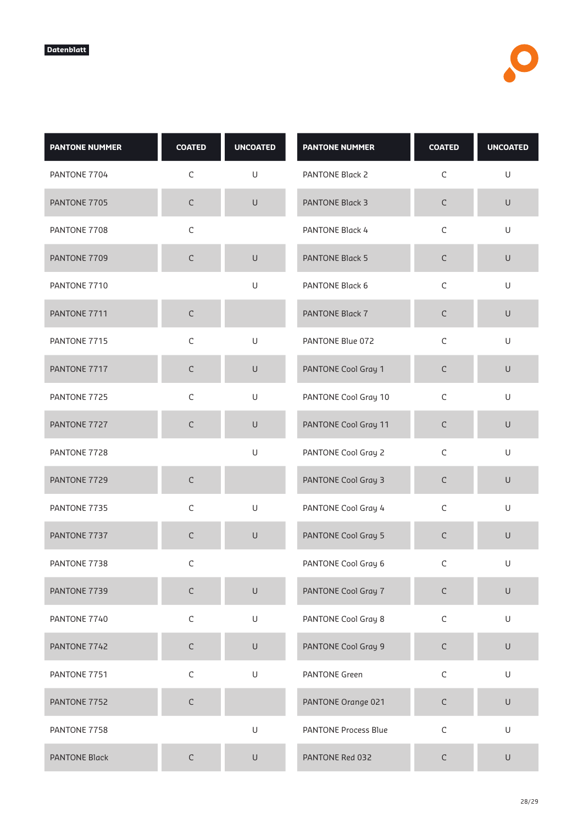| <b>PANTONE NUMMER</b> | <b>COATED</b> | <b>UNCOATED</b>                                                                                            | <b>PANTONE NUMMER</b>       | <b>COATED</b> | <b>UNCOATED</b>                                                                                            |
|-----------------------|---------------|------------------------------------------------------------------------------------------------------------|-----------------------------|---------------|------------------------------------------------------------------------------------------------------------|
| PANTONE 7704          | $\mathsf C$   | U                                                                                                          | PANTONE Black 2             | $\mathsf C$   | $\sf U$                                                                                                    |
| PANTONE 7705          | $\mathsf C$   | $\sf U$                                                                                                    | <b>PANTONE Black 3</b>      | $\mathsf C$   | $\sf U$                                                                                                    |
| PANTONE 7708          | $\mathsf C$   |                                                                                                            | PANTONE Black 4             | $\mathsf C$   | U                                                                                                          |
| PANTONE 7709          | C             | $\cup$                                                                                                     | <b>PANTONE Black 5</b>      | $\mathsf C$   | $\cup$                                                                                                     |
| PANTONE 7710          |               | $\mathsf{U}% _{T}=\mathsf{U}_{T}\!\left( a,b\right) ,\ \mathsf{U}_{T}=\mathsf{U}_{T}\!\left( a,b\right) ,$ | PANTONE Black 6             | C             | $\sf U$                                                                                                    |
| PANTONE 7711          | $\mathsf C$   |                                                                                                            | PANTONE Black 7             | $\mathsf C$   | $\sf U$                                                                                                    |
| PANTONE 7715          | $\mathsf C$   | U                                                                                                          | PANTONE Blue 072            | $\mathsf C$   | U                                                                                                          |
| PANTONE 7717          | $\mathsf C$   | $\cup$                                                                                                     | PANTONE Cool Gray 1         | $\mathsf C$   | U                                                                                                          |
| PANTONE 7725          | $\mathsf C$   | U                                                                                                          | PANTONE Cool Gray 10        | $\mathsf C$   | $\sf U$                                                                                                    |
| PANTONE 7727          | $\mathsf C$   | U                                                                                                          | PANTONE Cool Gray 11        | $\mathsf C$   | $\cup$                                                                                                     |
| PANTONE 7728          |               | U                                                                                                          | PANTONE Cool Gray 2         | $\mathsf C$   | $\sf U$                                                                                                    |
| PANTONE 7729          | C             |                                                                                                            | PANTONE Cool Gray 3         | $\mathsf C$   | $\cup$                                                                                                     |
| PANTONE 7735          | $\mathsf C$   | $\mathsf{U}% _{T}=\mathsf{U}_{T}\!\left( a,b\right) ,\ \mathsf{U}_{T}=\mathsf{U}_{T}\!\left( a,b\right) ,$ | PANTONE Cool Gray 4         | $\mathsf C$   | $\mathsf{U}% _{T}=\mathsf{U}_{T}\!\left( a,b\right) ,\ \mathsf{U}_{T}=\mathsf{U}_{T}\!\left( a,b\right) ,$ |
| PANTONE 7737          | C             | $\mathsf{U}% _{T}=\mathsf{U}_{T}\!\left( a,b\right) ,\ \mathsf{U}_{T}=\mathsf{U}_{T}\!\left( a,b\right) ,$ | PANTONE Cool Gray 5         | $\mathsf C$   | $\sf U$                                                                                                    |
| PANTONE 7738          | C             |                                                                                                            | PANTONE Cool Gray 6         | С             | U                                                                                                          |
| PANTONE 7739          | $\mathsf C$   | $\cup$                                                                                                     | PANTONE Cool Gray 7         | $\mathsf C$   | $\cup$                                                                                                     |
| PANTONE 7740          | $\mathsf C$   | U                                                                                                          | PANTONE Cool Gray 8         | $\mathsf C$   | $\sf U$                                                                                                    |
| PANTONE 7742          | $\mathsf C$   | $\cup$                                                                                                     | PANTONE Cool Gray 9         | $\mathsf C$   | $\sf U$                                                                                                    |
| PANTONE 7751          | $\mathsf C$   | U                                                                                                          | <b>PANTONE Green</b>        | $\mathsf C$   | $\sf U$                                                                                                    |
| PANTONE 7752          | $\mathsf C$   |                                                                                                            | PANTONE Orange 021          | $\mathsf C$   | U                                                                                                          |
| PANTONE 7758          |               | U                                                                                                          | <b>PANTONE Process Blue</b> | $\mathsf C$   | $\sf U$                                                                                                    |
| <b>PANTONE Black</b>  | C             | $\cup$                                                                                                     | PANTONE Red 032             | $\mathsf C$   | $\sf U$                                                                                                    |